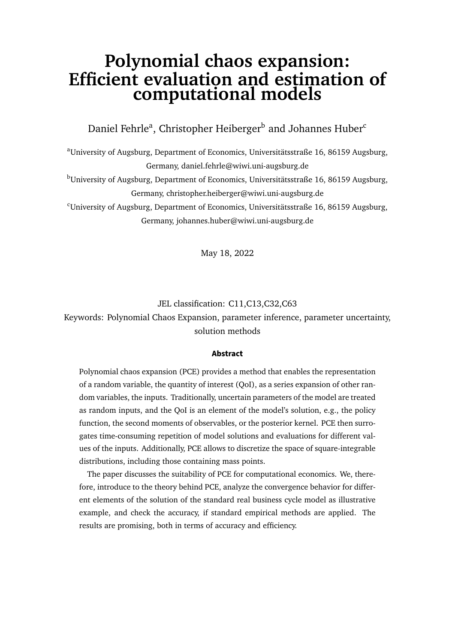## **Polynomial chaos expansion: Efficient evaluation and estimation of computational models**

### Daniel Fehrle<sup>a</sup>, Christopher Heiberger<sup>b</sup> and Johannes Huber<sup>c</sup>

<sup>a</sup>University of Augsburg, Department of Economics, Universitätsstraße 16, 86159 Augsburg, Germany, daniel.fehrle@wiwi.uni-augsburg.de

<sup>b</sup>University of Augsburg, Department of Economics, Universitätsstraße 16, 86159 Augsburg, Germany, christopher.heiberger@wiwi.uni-augsburg.de

<sup>c</sup>University of Augsburg, Department of Economics, Universitätsstraße 16, 86159 Augsburg, Germany, johannes.huber@wiwi.uni-augsburg.de

May 18, 2022

JEL classification: C11,C13,C32,C63

Keywords: Polynomial Chaos Expansion, parameter inference, parameter uncertainty, solution methods

#### **Abstract**

Polynomial chaos expansion (PCE) provides a method that enables the representation of a random variable, the quantity of interest (QoI), as a series expansion of other random variables, the inputs. Traditionally, uncertain parameters of the model are treated as random inputs, and the QoI is an element of the model's solution, e.g., the policy function, the second moments of observables, or the posterior kernel. PCE then surrogates time-consuming repetition of model solutions and evaluations for different values of the inputs. Additionally, PCE allows to discretize the space of square-integrable distributions, including those containing mass points.

The paper discusses the suitability of PCE for computational economics. We, therefore, introduce to the theory behind PCE, analyze the convergence behavior for different elements of the solution of the standard real business cycle model as illustrative example, and check the accuracy, if standard empirical methods are applied. The results are promising, both in terms of accuracy and efficiency.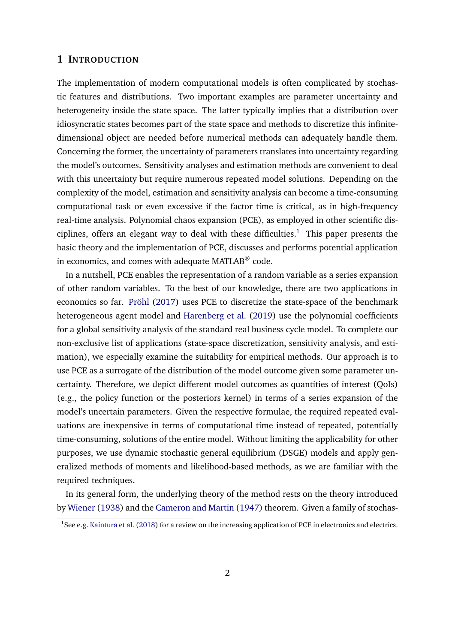#### **1 INTRODUCTION**

The implementation of modern computational models is often complicated by stochastic features and distributions. Two important examples are parameter uncertainty and heterogeneity inside the state space. The latter typically implies that a distribution over idiosyncratic states becomes part of the state space and methods to discretize this infinitedimensional object are needed before numerical methods can adequately handle them. Concerning the former, the uncertainty of parameters translates into uncertainty regarding the model's outcomes. Sensitivity analyses and estimation methods are convenient to deal with this uncertainty but require numerous repeated model solutions. Depending on the complexity of the model, estimation and sensitivity analysis can become a time-consuming computational task or even excessive if the factor time is critical, as in high-frequency real-time analysis. Polynomial chaos expansion (PCE), as employed in other scientific dis-ciplines, offers an elegant way to deal with these difficulties.<sup>[1](#page-1-0)</sup> This paper presents the basic theory and the implementation of PCE, discusses and performs potential application in economics, and comes with adequate MATLAB $^{\circledR}$  code.

In a nutshell, PCE enables the representation of a random variable as a series expansion of other random variables. To the best of our knowledge, there are two applications in economics so far. [Pröhl](#page-57-0) [\(2017\)](#page-57-0) uses PCE to discretize the state-space of the benchmark heterogeneous agent model and [Harenberg et al.](#page-56-0) [\(2019\)](#page-56-0) use the polynomial coefficients for a global sensitivity analysis of the standard real business cycle model. To complete our non-exclusive list of applications (state-space discretization, sensitivity analysis, and estimation), we especially examine the suitability for empirical methods. Our approach is to use PCE as a surrogate of the distribution of the model outcome given some parameter uncertainty. Therefore, we depict different model outcomes as quantities of interest (QoIs) (e.g., the policy function or the posteriors kernel) in terms of a series expansion of the model's uncertain parameters. Given the respective formulae, the required repeated evaluations are inexpensive in terms of computational time instead of repeated, potentially time-consuming, solutions of the entire model. Without limiting the applicability for other purposes, we use dynamic stochastic general equilibrium (DSGE) models and apply generalized methods of moments and likelihood-based methods, as we are familiar with the required techniques.

In its general form, the underlying theory of the method rests on the theory introduced by [Wiener](#page-58-0) [\(1938\)](#page-58-0) and the [Cameron and Martin](#page-56-1) [\(1947\)](#page-56-1) theorem. Given a family of stochas-

<span id="page-1-0"></span><sup>&</sup>lt;sup>1</sup>See e.g. [Kaintura et al.](#page-56-2) [\(2018\)](#page-56-2) for a review on the increasing application of PCE in electronics and electrics.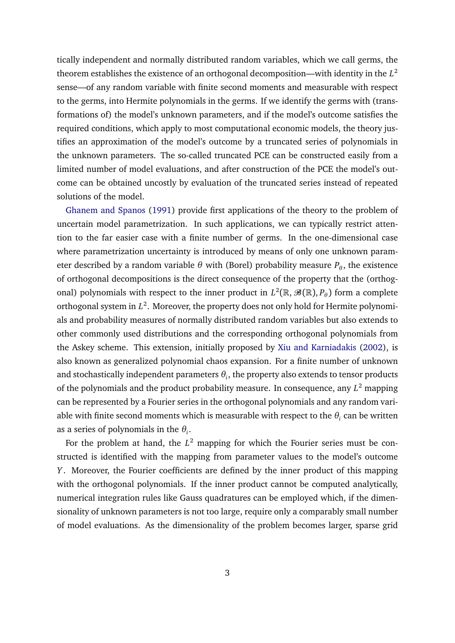tically independent and normally distributed random variables, which we call germs, the theorem establishes the existence of an orthogonal decomposition—with identity in the *L* 2 sense—of any random variable with finite second moments and measurable with respect to the germs, into Hermite polynomials in the germs. If we identify the germs with (transformations of) the model's unknown parameters, and if the model's outcome satisfies the required conditions, which apply to most computational economic models, the theory justifies an approximation of the model's outcome by a truncated series of polynomials in the unknown parameters. The so-called truncated PCE can be constructed easily from a limited number of model evaluations, and after construction of the PCE the model's outcome can be obtained uncostly by evaluation of the truncated series instead of repeated solutions of the model.

[Ghanem and Spanos](#page-56-3) [\(1991\)](#page-56-3) provide first applications of the theory to the problem of uncertain model parametrization. In such applications, we can typically restrict attention to the far easier case with a finite number of germs. In the one-dimensional case where parametrization uncertainty is introduced by means of only one unknown parameter described by a random variable  $\theta$  with (Borel) probability measure  $P_{\theta}$ , the existence of orthogonal decompositions is the direct consequence of the property that the (orthogonal) polynomials with respect to the inner product in  $L^2(\mathbb{R}, \mathscr{B}(\mathbb{R}), P_\theta)$  form a complete orthogonal system in *L* 2 . Moreover, the property does not only hold for Hermite polynomials and probability measures of normally distributed random variables but also extends to other commonly used distributions and the corresponding orthogonal polynomials from the Askey scheme. This extension, initially proposed by [Xiu and Karniadakis](#page-58-1) [\(2002\)](#page-58-1), is also known as generalized polynomial chaos expansion. For a finite number of unknown and stochastically independent parameters  $\theta_i$ , the property also extends to tensor products of the polynomials and the product probability measure. In consequence, any *L* <sup>2</sup> mapping can be represented by a Fourier series in the orthogonal polynomials and any random variable with finite second moments which is measurable with respect to the  $\theta_i$  can be written as a series of polynomials in the *θ<sup>i</sup>* .

For the problem at hand, the  $L^2$  mapping for which the Fourier series must be constructed is identified with the mapping from parameter values to the model's outcome *Y*. Moreover, the Fourier coefficients are defined by the inner product of this mapping with the orthogonal polynomials. If the inner product cannot be computed analytically, numerical integration rules like Gauss quadratures can be employed which, if the dimensionality of unknown parameters is not too large, require only a comparably small number of model evaluations. As the dimensionality of the problem becomes larger, sparse grid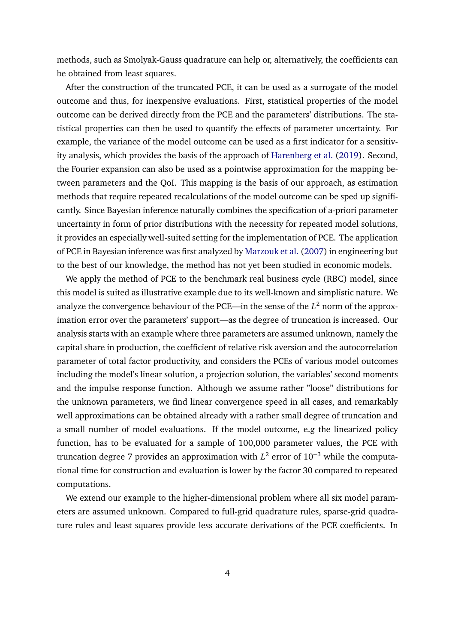methods, such as Smolyak-Gauss quadrature can help or, alternatively, the coefficients can be obtained from least squares.

After the construction of the truncated PCE, it can be used as a surrogate of the model outcome and thus, for inexpensive evaluations. First, statistical properties of the model outcome can be derived directly from the PCE and the parameters' distributions. The statistical properties can then be used to quantify the effects of parameter uncertainty. For example, the variance of the model outcome can be used as a first indicator for a sensitivity analysis, which provides the basis of the approach of [Harenberg et al.](#page-56-0) [\(2019\)](#page-56-0). Second, the Fourier expansion can also be used as a pointwise approximation for the mapping between parameters and the QoI. This mapping is the basis of our approach, as estimation methods that require repeated recalculations of the model outcome can be sped up significantly. Since Bayesian inference naturally combines the specification of a-priori parameter uncertainty in form of prior distributions with the necessity for repeated model solutions, it provides an especially well-suited setting for the implementation of PCE. The application of PCE in Bayesian inference was first analyzed by [Marzouk et al.](#page-57-1) [\(2007\)](#page-57-1) in engineering but to the best of our knowledge, the method has not yet been studied in economic models.

We apply the method of PCE to the benchmark real business cycle (RBC) model, since this model is suited as illustrative example due to its well-known and simplistic nature. We analyze the convergence behaviour of the PCE—in the sense of the *L* <sup>2</sup> norm of the approximation error over the parameters' support—as the degree of truncation is increased. Our analysis starts with an example where three parameters are assumed unknown, namely the capital share in production, the coefficient of relative risk aversion and the autocorrelation parameter of total factor productivity, and considers the PCEs of various model outcomes including the model's linear solution, a projection solution, the variables' second moments and the impulse response function. Although we assume rather "loose" distributions for the unknown parameters, we find linear convergence speed in all cases, and remarkably well approximations can be obtained already with a rather small degree of truncation and a small number of model evaluations. If the model outcome, e.g the linearized policy function, has to be evaluated for a sample of 100,000 parameter values, the PCE with truncation degree 7 provides an approximation with *L* 2 error of 10<sup>−</sup><sup>3</sup> while the computational time for construction and evaluation is lower by the factor 30 compared to repeated computations.

We extend our example to the higher-dimensional problem where all six model parameters are assumed unknown. Compared to full-grid quadrature rules, sparse-grid quadrature rules and least squares provide less accurate derivations of the PCE coefficients. In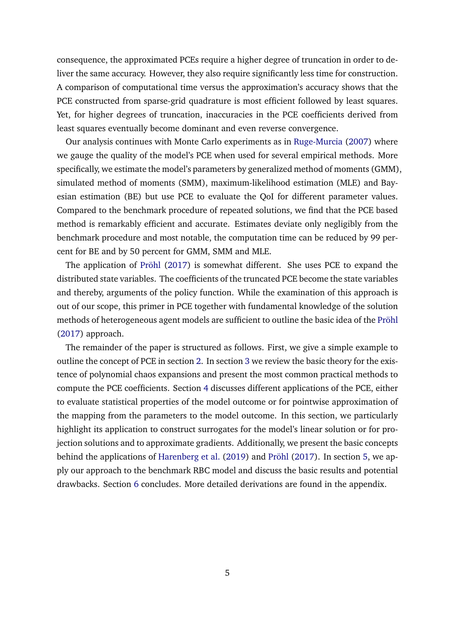consequence, the approximated PCEs require a higher degree of truncation in order to deliver the same accuracy. However, they also require significantly less time for construction. A comparison of computational time versus the approximation's accuracy shows that the PCE constructed from sparse-grid quadrature is most efficient followed by least squares. Yet, for higher degrees of truncation, inaccuracies in the PCE coefficients derived from least squares eventually become dominant and even reverse convergence.

Our analysis continues with Monte Carlo experiments as in [Ruge-Murcia](#page-57-2) [\(2007\)](#page-57-2) where we gauge the quality of the model's PCE when used for several empirical methods. More specifically, we estimate the model's parameters by generalized method of moments (GMM), simulated method of moments (SMM), maximum-likelihood estimation (MLE) and Bayesian estimation (BE) but use PCE to evaluate the QoI for different parameter values. Compared to the benchmark procedure of repeated solutions, we find that the PCE based method is remarkably efficient and accurate. Estimates deviate only negligibly from the benchmark procedure and most notable, the computation time can be reduced by 99 percent for BE and by 50 percent for GMM, SMM and MLE.

The application of [Pröhl](#page-57-0) [\(2017\)](#page-57-0) is somewhat different. She uses PCE to expand the distributed state variables. The coefficients of the truncated PCE become the state variables and thereby, arguments of the policy function. While the examination of this approach is out of our scope, this primer in PCE together with fundamental knowledge of the solution methods of heterogeneous agent models are sufficient to outline the basic idea of the [Pröhl](#page-57-0) [\(2017\)](#page-57-0) approach.

The remainder of the paper is structured as follows. First, we give a simple example to outline the concept of PCE in section [2.](#page-5-0) In section [3](#page-8-0) we review the basic theory for the existence of polynomial chaos expansions and present the most common practical methods to compute the PCE coefficients. Section [4](#page-20-0) discusses different applications of the PCE, either to evaluate statistical properties of the model outcome or for pointwise approximation of the mapping from the parameters to the model outcome. In this section, we particularly highlight its application to construct surrogates for the model's linear solution or for projection solutions and to approximate gradients. Additionally, we present the basic concepts behind the applications of [Harenberg et al.](#page-56-0) [\(2019\)](#page-56-0) and [Pröhl](#page-57-0) [\(2017\)](#page-57-0). In section [5,](#page-26-0) we apply our approach to the benchmark RBC model and discuss the basic results and potential drawbacks. Section [6](#page-46-0) concludes. More detailed derivations are found in the appendix.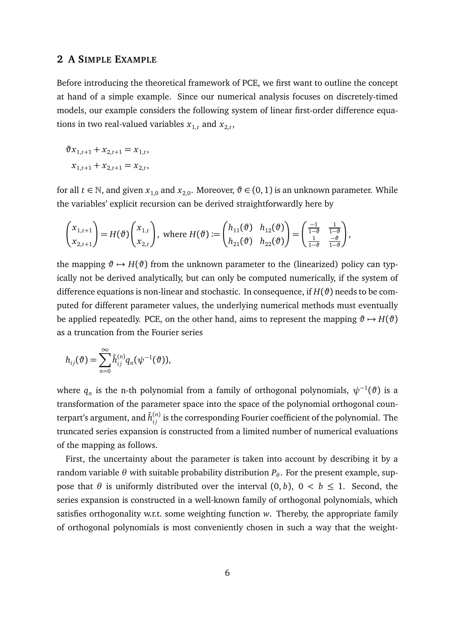#### <span id="page-5-0"></span>**2 A SIMPLE EXAMPLE**

Before introducing the theoretical framework of PCE, we first want to outline the concept at hand of a simple example. Since our numerical analysis focuses on discretely-timed models, our example considers the following system of linear first-order difference equations in two real-valued variables  $x_{1,t}$  and  $x_{2,t}$ ,

 $\vartheta x_{1,t+1} + x_{2,t+1} = x_{1,t}$  $x_{1,t+1} + x_{2,t+1} = x_{2,t}$ 

for all  $t \in \mathbb{N}$ , and given  $x_{1,0}$  and  $x_{2,0}$ . Moreover,  $\vartheta \in (0,1)$  is an unknown parameter. While the variables' explicit recursion can be derived straightforwardly here by

$$
\begin{pmatrix} x_{1,t+1} \\ x_{2,t+1} \end{pmatrix} = H(\vartheta) \begin{pmatrix} x_{1,t} \\ x_{2,t} \end{pmatrix}, \text{ where } H(\vartheta) := \begin{pmatrix} h_{11}(\vartheta) & h_{12}(\vartheta) \\ h_{21}(\vartheta) & h_{22}(\vartheta) \end{pmatrix} = \begin{pmatrix} \frac{-1}{1-\vartheta} & \frac{1}{1-\vartheta} \\ \frac{1}{1-\vartheta} & \frac{-\vartheta}{1-\vartheta} \end{pmatrix},
$$

the mapping  $\vartheta \mapsto H(\vartheta)$  from the unknown parameter to the (linearized) policy can typically not be derived analytically, but can only be computed numerically, if the system of difference equations is non-linear and stochastic. In consequence, if  $H(\vartheta)$  needs to be computed for different parameter values, the underlying numerical methods must eventually be applied repeatedly. PCE, on the other hand, aims to represent the mapping  $\vartheta \mapsto H(\vartheta)$ as a truncation from the Fourier series

$$
h_{ij}(\vartheta) = \sum_{n=0}^{\infty} \hat{h}_{ij}^{(n)} q_n(\psi^{-1}(\vartheta)),
$$

where  $q_n$  is the n-th polynomial from a family of orthogonal polynomials,  $\psi^{-1}(\vartheta)$  is a transformation of the parameter space into the space of the polynomial orthogonal counterpart's argument, and  $\hat{h}^{(n)}_{ij}$  is the corresponding Fourier coefficient of the polynomial. The truncated series expansion is constructed from a limited number of numerical evaluations of the mapping as follows.

First, the uncertainty about the parameter is taken into account by describing it by a random variable  $\theta$  with suitable probability distribution  $P_\theta.$  For the present example, suppose that  $\theta$  is uniformly distributed over the interval  $(0, b)$ ,  $0 < b \le 1$ . Second, the series expansion is constructed in a well-known family of orthogonal polynomials, which satisfies orthogonality w.r.t. some weighting function *w*. Thereby, the appropriate family of orthogonal polynomials is most conveniently chosen in such a way that the weight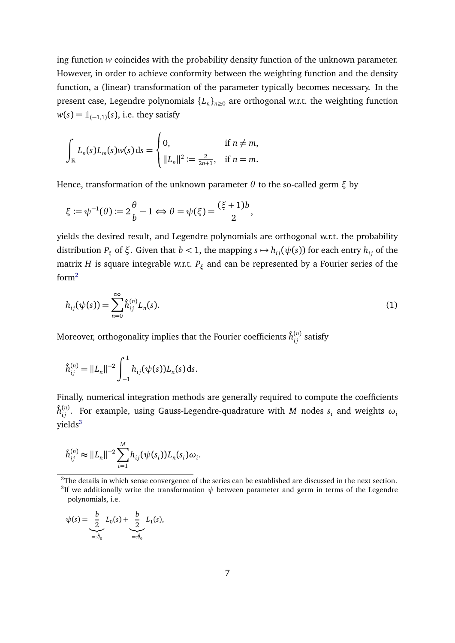ing function *w* coincides with the probability density function of the unknown parameter. However, in order to achieve conformity between the weighting function and the density function, a (linear) transformation of the parameter typically becomes necessary. In the present case, Legendre polynomials {*L<sup>n</sup>* }*n*≥<sup>0</sup> are orthogonal w.r.t. the weighting function  $w(s) = \mathbb{1}_{(-1,1)}(s)$ , i.e. they satisfy

$$
\int_{\mathbb{R}} L_n(s) L_m(s) w(s) ds = \begin{cases} 0, & \text{if } n \neq m, \\ \|L_n\|^2 := \frac{2}{2n+1}, & \text{if } n = m. \end{cases}
$$

Hence, transformation of the unknown parameter *θ* to the so-called germ *ξ* by

$$
\xi := \psi^{-1}(\theta) := 2\frac{\theta}{b} - 1 \Leftrightarrow \theta = \psi(\xi) = \frac{(\xi + 1)b}{2},
$$

yields the desired result, and Legendre polynomials are orthogonal w.r.t. the probability distribution  $P_{\xi}$  of  $\xi$ . Given that  $b < 1$ , the mapping  $s \mapsto h_{ij}(\psi(s))$  for each entry  $h_{ij}$  of the matrix *H* is square integrable w.r.t. *P<sup>ξ</sup>* and can be represented by a Fourier series of the form[2](#page-6-0)

<span id="page-6-2"></span>
$$
h_{ij}(\psi(s)) = \sum_{n=0}^{\infty} \hat{h}_{ij}^{(n)} L_n(s).
$$
 (1)

Moreover, orthogonality implies that the Fourier coefficients  $\hat{h}^{(n)}_{ij}$  satisfy

$$
\hat{h}_{ij}^{(n)} = ||L_n||^{-2} \int_{-1}^1 h_{ij}(\psi(s)) L_n(s) \, ds.
$$

Finally, numerical integration methods are generally required to compute the coefficients  $\hat{h}^{(n)}_{ij}$ . For example, using Gauss-Legendre-quadrature with  $M$  nodes  $s_i$  and weights  $\omega_i$  $vields<sup>3</sup>$  $vields<sup>3</sup>$  $vields<sup>3</sup>$ 

$$
\hat{h}_{ij}^{(n)} \approx ||L_n||^{-2} \sum_{i=1}^{M} h_{ij}(\psi(s_i)) L_n(s_i) \omega_i.
$$

<span id="page-6-1"></span><span id="page-6-0"></span><sup>2</sup>The details in which sense convergence of the series can be established are discussed in the next section.  $^3$ If we additionally write the transformation  $\psi$  between parameter and germ in terms of the Legendre polynomials, i.e.

$$
\psi(s) = \underbrace{\frac{b}{2}}_{=: \hat{\theta}_0} L_0(s) + \underbrace{\frac{b}{2}}_{=: \hat{\theta}_0} L_1(s),
$$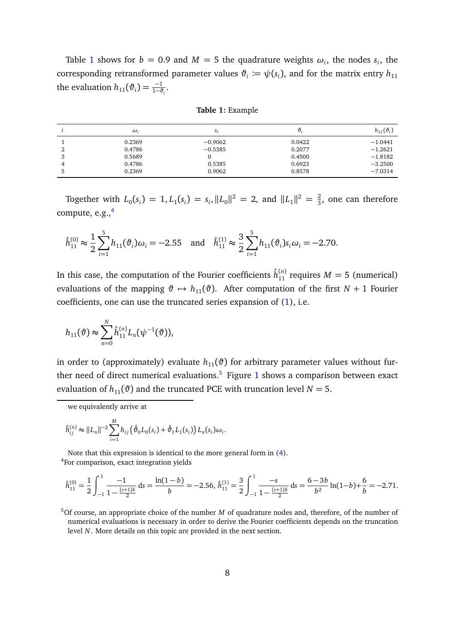Table [1](#page-7-0) shows for  $b = 0.9$  and  $M = 5$  the quadrature weights  $\omega_i$ , the nodes  $s_i$ , the corresponding retransformed parameter values  $\vartheta_i\coloneqq\psi(s_i)$ , and for the matrix entry  $h_{11}$ the evaluation  $h_{11}(\vartheta_i) = \frac{-1}{1-\vartheta_i}$ .

<span id="page-7-0"></span>

|          | $\omega_i$ | S:        | $\vartheta$ . | $h_{11}(\vartheta_i)$ |
|----------|------------|-----------|---------------|-----------------------|
|          | 0.2369     | $-0.9062$ | 0.0422        | $-1.0441$             |
| റ        | 0.4786     | $-0.5385$ | 0.2077        | $-1.2621$             |
| っ<br>w   | 0.5689     |           | 0.4500        | $-1.8182$             |
| $\Delta$ | 0.4786     | 0.5385    | 0.6923        | $-3.2500$             |
|          | 0.2369     | 0.9062    | 0.8578        | $-7.0314$             |

**Table 1:** Example

Together with  $L_0(s_i) = 1, L_1(s_i) = s_i, ||L_0||^2 = 2$ , and  $||L_1||^2 = \frac{2}{3}$  $\frac{2}{3}$ , one can therefore compute, e.g., $4$ 

$$
\hat{h}_{11}^{(0)} \approx \frac{1}{2} \sum_{i=1}^{5} h_{11}(\vartheta_i) \omega_i = -2.55 \quad \text{and} \quad \hat{h}_{11}^{(1)} \approx \frac{3}{2} \sum_{i=1}^{5} h_{11}(\vartheta_i) s_i \omega_i = -2.70.
$$

In this case, the computation of the Fourier coefficients  $\hat{h}_{11}^{(n)}$  requires  $M = 5$  (numerical) evaluations of the mapping  $\vartheta \mapsto h_{11}(\vartheta)$ . After computation of the first *N* + 1 Fourier coefficients, one can use the truncated series expansion of [\(1\)](#page-6-2), i.e.

$$
h_{11}(\vartheta) \approx \sum_{n=0}^{N} \hat{h}_{11}^{(n)} L_n(\psi^{-1}(\vartheta)),
$$

in order to (approximately) evaluate  $h_{11}(\vartheta)$  for arbitrary parameter values without fur-ther need of direct numerical evaluations.<sup>[5](#page-7-2)</sup> Figure [1](#page-8-1) shows a comparison between exact evaluation of  $h_{11}(\vartheta)$  and the truncated PCE with truncation level  $N = 5$ .

we equivalently arrive at

$$
\hat{h}_{ij}^{(n)} \approx ||L_n||^{-2} \sum_{i=1}^{M} h_{ij} \left( \hat{\vartheta}_0 L_0(s_i) + \hat{\vartheta}_1 L_1(s_i) \right) L_n(s_i) \omega_i.
$$

<span id="page-7-1"></span>Note that this expression is identical to the more general form in [\(4\)](#page-15-0). <sup>4</sup>For comparison, exact integration yields

$$
\hat{h}_{11}^{(0)} = \frac{1}{2} \int_{-1}^{1} \frac{-1}{1 - \frac{(s+1)b}{2}} ds = \frac{\ln(1-b)}{b} = -2.56, \ \hat{h}_{11}^{(1)} = \frac{3}{2} \int_{-1}^{1} \frac{-s}{1 - \frac{(s+1)b}{2}} ds = \frac{6-3b}{b^2} \ln(1-b) + \frac{6}{b} = -2.71.
$$

<span id="page-7-2"></span><sup>5</sup>Of course, an appropriate choice of the number *M* of quadrature nodes and, therefore, of the number of numerical evaluations is necessary in order to derive the Fourier coefficients depends on the truncation level *N*. More details on this topic are provided in the next section.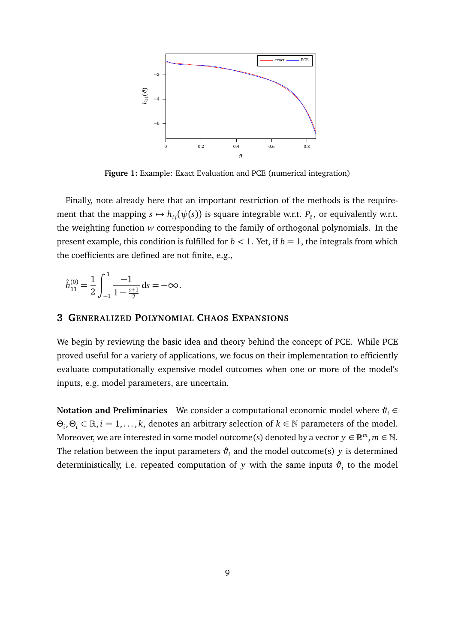<span id="page-8-1"></span>

**Figure 1:** Example: Exact Evaluation and PCE (numerical integration)

Finally, note already here that an important restriction of the methods is the requirement that the mapping  $s \mapsto h_{ij}(\psi(s))$  is square integrable w.r.t.  $P_{\xi}$ , or equivalently w.r.t. the weighting function *w* corresponding to the family of orthogonal polynomials. In the present example, this condition is fulfilled for  $b < 1$ . Yet, if  $b = 1$ , the integrals from which the coefficients are defined are not finite, e.g.,

$$
\hat{h}_{11}^{(0)} = \frac{1}{2} \int_{-1}^{1} \frac{-1}{1 - \frac{s+1}{2}} \, \mathrm{d}s = -\infty.
$$

#### <span id="page-8-0"></span>**3 GENERALIZED POLYNOMIAL CHAOS EXPANSIONS**

We begin by reviewing the basic idea and theory behind the concept of PCE. While PCE proved useful for a variety of applications, we focus on their implementation to efficiently evaluate computationally expensive model outcomes when one or more of the model's inputs, e.g. model parameters, are uncertain.

**Notation and Preliminaries** We consider a computational economic model where  $\vartheta_i \in$ *Θ*<sub>*i*</sub>, *Θ*<sub>*i*</sub> ⊂ ℝ, *i* = 1, . . . , *k*, denotes an arbitrary selection of *k* ∈ N parameters of the model. Moreover, we are interested in some model outcome(s) denoted by a vector  $y \in \mathbb{R}^m$ ,  $m \in \mathbb{N}$ . The relation between the input parameters  $\vartheta_i$  and the model outcome(s) *y* is determined deterministically, i.e. repeated computation of  $y$  with the same inputs  $\vartheta_i$  to the model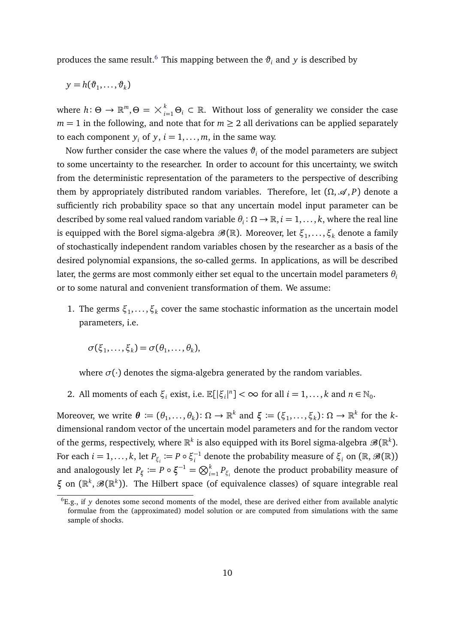produces the same result.<sup>[6](#page-9-0)</sup> This mapping between the  $\vartheta_i$  and *y* is described by

$$
y = h(\vartheta_1, \ldots, \vartheta_k)
$$

where  $h\colon \Theta\to \mathbb{R}^m, \Theta=\times_{i=1}^k \Theta_i\subset \mathbb{R}.$  Without loss of generality we consider the case  $m = 1$  in the following, and note that for  $m \geq 2$  all derivations can be applied separately to each component  $y_i$  of  $y$ ,  $i = 1, \ldots, m$ , in the same way.

Now further consider the case where the values  $\vartheta_i$  of the model parameters are subject to some uncertainty to the researcher. In order to account for this uncertainty, we switch from the deterministic representation of the parameters to the perspective of describing them by appropriately distributed random variables. Therefore, let  $(\Omega, \mathcal{A}, P)$  denote a sufficiently rich probability space so that any uncertain model input parameter can be described by some real valued random variable  $\theta_i \colon \Omega \to \mathbb{R}, i = 1, \ldots, k$ , where the real line is equipped with the Borel sigma-algebra  $\mathscr{B}(\mathbb{R})$ . Moreover, let  $\xi_1,\ldots,\xi_k$  denote a family of stochastically independent random variables chosen by the researcher as a basis of the desired polynomial expansions, the so-called germs. In applications, as will be described later, the germs are most commonly either set equal to the uncertain model parameters *θ<sup>i</sup>* or to some natural and convenient transformation of them. We assume:

1. The germs  $\xi_1, \ldots, \xi_k$  cover the same stochastic information as the uncertain model parameters, i.e.

 $\sigma(\xi_1,\ldots,\xi_k) = \sigma(\theta_1,\ldots,\theta_k),$ 

where  $\sigma(\cdot)$  denotes the sigma-algebra generated by the random variables.

2. All moments of each  $\xi_i$  exist, i.e.  $\mathbb{E}[\xi_i|^n] < \infty$  for all  $i = 1, ..., k$  and  $n \in \mathbb{N}_0$ .

 $M$ oreover, we write  $\boldsymbol{\theta} := (\theta_1, \dots, \theta_k) \colon \Omega \to \mathbb{R}^k$  and  $\xi := (\xi_1, \dots, \xi_k) \colon \Omega \to \mathbb{R}^k$  for the  $k$ dimensional random vector of the uncertain model parameters and for the random vector of the germs, respectively, where  $\mathbb{R}^k$  is also equipped with its Borel sigma-algebra  $\mathscr{B}(\mathbb{R}^k).$ For each  $i = 1, \ldots, k$ , let  $P_{\xi_i} := P \circ \xi_i^{-1}$  $i$ <sup>1</sup> denote the probability measure of  $\xi$ <sub>*i*</sub> on (ℝ,  $\mathscr{B}(\mathbb{R})$ ) and analogously let  $P_{\xi} \coloneqq P \circ \xi^{-1} = \bigotimes_{i=1}^{k} P_{\xi_i}$  denote the product probability measure of *ξ* on ( $\mathbb{R}^k$ ,  $\mathscr{B}(\mathbb{R}^k)$ ). The Hilbert space (of equivalence classes) of square integrable real

<span id="page-9-0"></span><sup>&</sup>lt;sup>6</sup>E.g., if *y* denotes some second moments of the model, these are derived either from available analytic formulae from the (approximated) model solution or are computed from simulations with the same sample of shocks.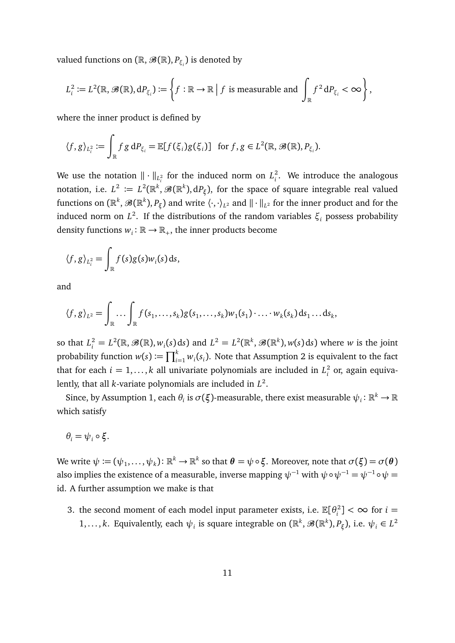valued functions on  $(\mathbb{R},\mathscr{B}(\mathbb{R}), P_{\xi_i})$  is denoted by

$$
L_i^2 := L^2(\mathbb{R}, \mathscr{B}(\mathbb{R}), dP_{\xi_i}) := \left\{ f : \mathbb{R} \to \mathbb{R} \mid f \text{ is measurable and } \int_{\mathbb{R}} f^2 dP_{\xi_i} < \infty \right\},
$$

where the inner product is defined by

$$
\langle f, g \rangle_{L_i^2} := \int_{\mathbb{R}} f g \, dP_{\xi_i} = \mathbb{E}[f(\xi_i)g(\xi_i)] \text{ for } f, g \in L^2(\mathbb{R}, \mathcal{B}(\mathbb{R}), P_{\xi_i}).
$$

We use the notation  $\|\cdot\|_{L^2_i}$  for the induced norm on  $L^2_i$  $\int_{i}^{2}$ . We introduce the analogous notation, i.e.  $L^2 \coloneqq L^2(\mathbb{R}^k, \mathscr{B}(\mathbb{R}^k),\mathrm{d} P_\xi),$  for the space of square integrable real valued functions on  $(\R^k,\mathscr{B}(\R^k),P_\xi)$  and write  $\langle\cdot,\cdot\rangle_{L^2}$  and  $\|\cdot\|_{L^2}$  for the inner product and for the induced norm on *L* 2 . If the distributions of the random variables *ξ<sup>i</sup>* possess probability density functions  $w_i: \mathbb{R} \to \mathbb{R}_+$ , the inner products become

$$
\langle f, g \rangle_{L_i^2} = \int_{\mathbb{R}} f(s) g(s) w_i(s) \, ds,
$$

and

$$
\langle f,g \rangle_{L^2} = \int_{\mathbb{R}} \dots \int_{\mathbb{R}} f(s_1,\dots,s_k)g(s_1,\dots,s_k)w_1(s_1)\cdot \dots \cdot w_k(s_k)ds_1\dots ds_k,
$$

so that  $L_i^2 = L^2(\mathbb{R}, \mathcal{B}(\mathbb{R}), w_i(s) \, ds)$  and  $L^2 = L^2(\mathbb{R}^k, \mathcal{B}(\mathbb{R}^k), w(s) \, ds)$  where *w* is the joint probability function  $w(s) \coloneqq \prod_{i=1}^k w_i(s_i)$ . Note that Assumption 2 is equivalent to the fact that for each  $i = 1, ..., k$  all univariate polynomials are included in  $L_i^2$  $\frac{2}{i}$  or, again equivalently, that all *k*-variate polynomials are included in *L* 2 .

Since, by Assumption 1, each  $\theta_i$  is  $\sigma(\xi)$ -measurable, there exist measurable  $\psi_i: \mathbb{R}^k \to \mathbb{R}$ which satisfy

$$
\theta_i = \psi_i \circ \xi.
$$

 $\forall$  ε write  $\psi \coloneqq (\psi_1, \dots, \psi_k) \colon \mathbb{R}^k \to \mathbb{R}^k$  so that  $\bm{\theta} = \psi \circ \bm{\xi}.$  Moreover, note that  $\sigma(\bm{\xi}) = \sigma(\bm{\theta})$ also implies the existence of a measurable, inverse mapping  $\psi^{-1}$  with  $\psi \circ \psi^{-1} = \psi^{-1} \circ \psi =$ id. A further assumption we make is that

3. the second moment of each model input parameter exists, i.e.  $\mathbb{E}[\theta_i^2]$  $\binom{2}{i}$  <  $\infty$  for *i* = 1,..., *k*. Equivalently, each  $\psi_i$  is square integrable on  $(\mathbb{R}^k, \mathscr{B}(\mathbb{R}^k), P_{\xi})$ , i.e.  $\psi_i \in L^2$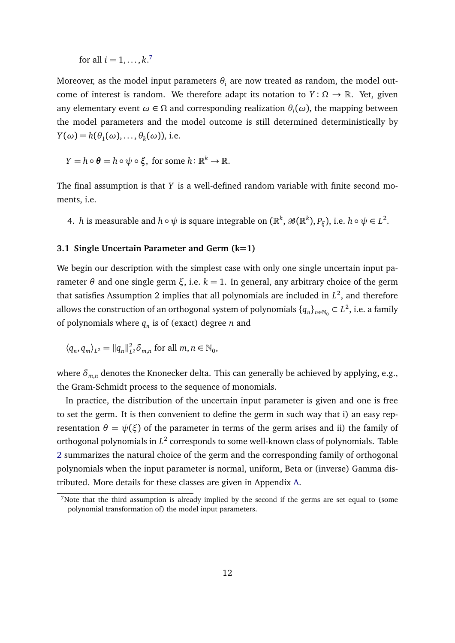for all  $i = 1, \ldots, k$ .<sup>[7](#page-11-0)</sup>

Moreover, as the model input parameters  $\theta_i$  are now treated as random, the model outcome of interest is random. We therefore adapt its notation to *Y* : *Ω* → R. Yet, given any elementary event  $\omega \in \Omega$  and corresponding realization  $\theta_i(\omega)$ , the mapping between the model parameters and the model outcome is still determined deterministically by  $Y(\omega) = h(\theta_1(\omega), \dots, \theta_k(\omega))$ , i.e.

$$
Y = h \circ \theta = h \circ \psi \circ \xi, \text{ for some } h \colon \mathbb{R}^k \to \mathbb{R}.
$$

The final assumption is that *Y* is a well-defined random variable with finite second moments, i.e.

4. *h* is measurable and  $h \circ \psi$  is square integrable on  $(\mathbb{R}^k, \mathscr{B}(\mathbb{R}^k), P_\xi)$ , i.e.  $h \circ \psi \in L^2$ .

#### **3.1 Single Uncertain Parameter and Germ (k=1)**

We begin our description with the simplest case with only one single uncertain input parameter *θ* and one single germ *ξ*, i.e. *k* = 1. In general, any arbitrary choice of the germ that satisfies Assumption 2 implies that all polynomials are included in  $L^2$ , and therefore allows the construction of an orthogonal system of polynomials  $\{q_n\}_{n\in\mathbb{N}_0}\subset L^2$ , i.e. a family of polynomials where *q<sup>n</sup>* is of (exact) degree *n* and

$$
\langle q_n, q_m \rangle_{L^2} = ||q_n||_{L^2}^2 \delta_{m,n} \text{ for all } m, n \in \mathbb{N}_0,
$$

where  $\delta_{m,n}$  denotes the Knonecker delta. This can generally be achieved by applying, e.g., the Gram-Schmidt process to the sequence of monomials.

In practice, the distribution of the uncertain input parameter is given and one is free to set the germ. It is then convenient to define the germ in such way that i) an easy representation  $θ = ψ(ξ)$  of the parameter in terms of the germ arises and ii) the family of orthogonal polynomials in  $L^2$  corresponds to some well-known class of polynomials. Table [2](#page-12-0) summarizes the natural choice of the germ and the corresponding family of orthogonal polynomials when the input parameter is normal, uniform, Beta or (inverse) Gamma distributed. More details for these classes are given in Appendix [A.](#page-48-0)

<span id="page-11-0"></span> $<sup>7</sup>$ Note that the third assumption is already implied by the second if the germs are set equal to (some</sup> polynomial transformation of) the model input parameters.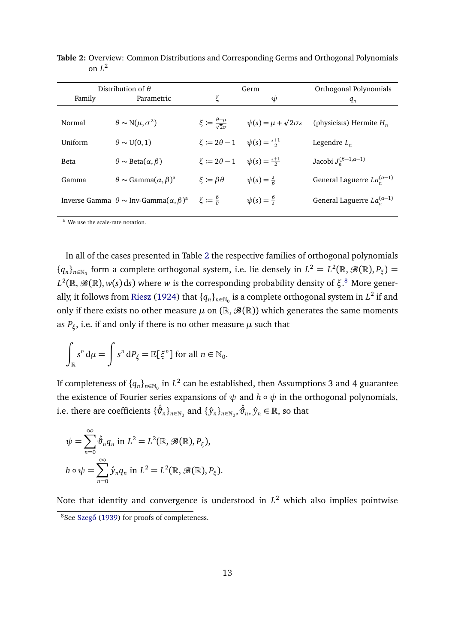| Distribution of $\theta$                 |                                               |                                                                                        | Orthogonal Polynomials                                                                                                                                |
|------------------------------------------|-----------------------------------------------|----------------------------------------------------------------------------------------|-------------------------------------------------------------------------------------------------------------------------------------------------------|
| Parametric                               | ξ                                             | $\psi$                                                                                 | $q_n$                                                                                                                                                 |
| $\theta \sim N(\mu, \sigma^2)$           | $\xi := \frac{\theta - \mu}{\sqrt{2} \sigma}$ |                                                                                        | (physicists) Hermite $H_n$                                                                                                                            |
| $\theta \sim U(0,1)$                     |                                               |                                                                                        | Legendre $L_n$                                                                                                                                        |
| $\theta \sim \text{Beta}(\alpha, \beta)$ |                                               |                                                                                        | Jacobi $J_n^{(\beta-1,\alpha-1)}$                                                                                                                     |
| $\theta \sim$ Gamma $(\alpha, \beta)^a$  | $\xi := \beta \theta$                         | $\psi(s) = \frac{s}{\beta}$                                                            | General Laguerre $La_n^{(\alpha-1)}$                                                                                                                  |
|                                          |                                               | $\psi(s) = \frac{\beta}{s}$                                                            | General Laguerre $La_n^{(\alpha-1)}$                                                                                                                  |
|                                          |                                               | Inverse Gamma $\theta \sim \text{Inv-Gamma}(\alpha, \beta)^a$ $\xi := \frac{\beta}{a}$ | Germ<br>$\psi(s) = \mu + \sqrt{2}\sigma s$<br>$\xi \coloneqq 2\theta - 1$ $\psi(s) = \frac{s+1}{2}$<br>$\xi := 2\theta - 1$ $\psi(s) = \frac{s+1}{2}$ |

<span id="page-12-0"></span>**Table 2:** Overview: Common Distributions and Corresponding Germs and Orthogonal Polynomials on *L* 2

<sup>a</sup> We use the scale-rate notation.

In all of the cases presented in Table [2](#page-12-0) the respective families of orthogonal polynomials  ${q_n}_{n \in \mathbb{N}_0}$  form a complete orthogonal system, i.e. lie densely in  $L^2 = L^2(\mathbb{R}, \mathcal{B}(\mathbb{R}), P_{\xi}) =$  $L^2(\mathbb{R},\mathscr{B}(\mathbb{R}),w(s)\,ds)$  where *w* is the corresponding probability density of  $\xi$ .<sup>[8](#page-12-1)</sup> More gener-ally, it follows from [Riesz](#page-57-3) [\(1924\)](#page-57-3) that  $\{q_n\}_{n\in\mathbb{N}_0}$  is a complete orthogonal system in  $L^2$  if and only if there exists no other measure  $\mu$  on  $(\mathbb{R},\mathcal{B}(\mathbb{R}))$  which generates the same moments as *P<sup>ξ</sup>* , i.e. if and only if there is no other measure *µ* such that

$$
\int_{\mathbb{R}} s^n d\mu = \int s^n dP_{\xi} = \mathbb{E}[\xi^n] \text{ for all } n \in \mathbb{N}_0.
$$

If completeness of  $\{q_n\}_{n\in\mathbb{N}_0}$  in  $L^2$  can be established, then Assumptions 3 and 4 guarantee the existence of Fourier series expansions of  $\psi$  and  $h \circ \psi$  in the orthogonal polynomials, i.e. there are coefficients  $\{\hat\vartheta_n\}_{n\in\mathbb{N}_0}$  and  $\{\hat{\textbf{y}}_n\}_{n\in\mathbb{N}_0}, \hat{\vartheta}_n, \hat{\textbf{y}}_n\in\mathbb{R},$  so that

$$
\psi = \sum_{n=0}^{\infty} \hat{\vartheta}_n q_n \text{ in } L^2 = L^2(\mathbb{R}, \mathscr{B}(\mathbb{R}), P_{\xi}),
$$
  

$$
h \circ \psi = \sum_{n=0}^{\infty} \hat{y}_n q_n \text{ in } L^2 = L^2(\mathbb{R}, \mathscr{B}(\mathbb{R}), P_{\xi}).
$$

Note that identity and convergence is understood in *L* <sup>2</sup> which also implies pointwise

<span id="page-12-1"></span> $8$ See Szegő [\(1939\)](#page-57-4) for proofs of completeness.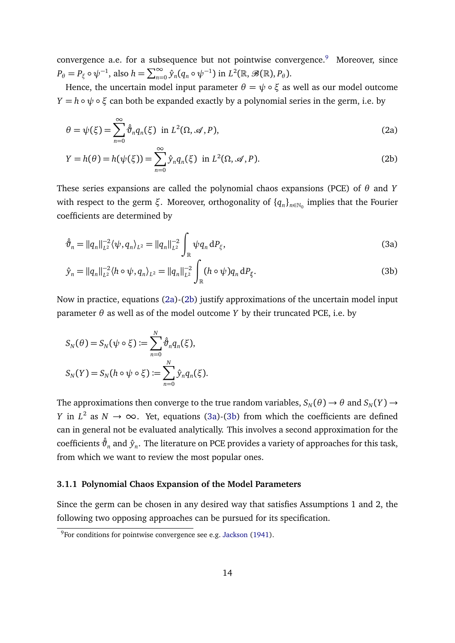convergence a.e. for a subsequence but not pointwise convergence.<sup>[9](#page-13-0)</sup> Moreover, since  $P_{\theta} = P_{\xi} \circ \psi^{-1}$ , also  $h = \sum_{n=0}^{\infty} \hat{y}_n (q_n \circ \psi^{-1})$  in  $L^2(\mathbb{R}, \mathscr{B}(\mathbb{R}), P_{\theta})$ .

Hence, the uncertain model input parameter  $θ = ψ ∘ ξ$  as well as our model outcome *Y* = *h* ∘  $\psi$  ∘ *ξ* can both be expanded exactly by a polynomial series in the germ, i.e. by

<span id="page-13-1"></span>
$$
\theta = \psi(\xi) = \sum_{n=0}^{\infty} \hat{\vartheta}_n q_n(\xi) \text{ in } L^2(\Omega, \mathcal{A}, P), \tag{2a}
$$

<span id="page-13-2"></span>
$$
Y = h(\theta) = h(\psi(\xi)) = \sum_{n=0}^{\infty} \hat{y}_n q_n(\xi) \text{ in } L^2(\Omega, \mathcal{A}, P). \tag{2b}
$$

These series expansions are called the polynomial chaos expansions (PCE) of *θ* and *Y* with respect to the germ *ξ*. Moreover, orthogonality of  $\{q_n\}_{n\in\mathbb{N}_0}$  implies that the Fourier coefficients are determined by

<span id="page-13-3"></span>
$$
\hat{\vartheta}_n = ||q_n||_{L^2}^{-2} \langle \psi, q_n \rangle_{L^2} = ||q_n||_{L^2}^{-2} \int_{\mathbb{R}} \psi q_n \, dP_{\xi}, \tag{3a}
$$

<span id="page-13-4"></span>
$$
\hat{y}_n = ||q_n||_{L^2}^{-2} \langle h \circ \psi, q_n \rangle_{L^2} = ||q_n||_{L^2}^{-2} \int_{\mathbb{R}} (h \circ \psi) q_n \, dP_{\xi}.
$$
\n(3b)

Now in practice, equations [\(2a\)](#page-13-1)-[\(2b\)](#page-13-2) justify approximations of the uncertain model input parameter  $\theta$  as well as of the model outcome *Y* by their truncated PCE, i.e. by

$$
S_N(\theta) = S_N(\psi \circ \xi) := \sum_{n=0}^N \hat{\vartheta}_n q_n(\xi),
$$
  

$$
S_N(Y) = S_N(h \circ \psi \circ \xi) := \sum_{n=0}^N \hat{y}_n q_n(\xi).
$$

The approximations then converge to the true random variables,  $S_N(\theta) \to \theta$  and  $S_N(Y) \to$ *Y* in  $L^2$  as  $N \to \infty$ . Yet, equations [\(3a\)](#page-13-3)-[\(3b\)](#page-13-4) from which the coefficients are defined can in general not be evaluated analytically. This involves a second approximation for the coefficients  $\hat{\vartheta}_n$  and  $\hat{y}_n.$  The literature on PCE provides a variety of approaches for this task, from which we want to review the most popular ones.

#### <span id="page-13-5"></span>**3.1.1 Polynomial Chaos Expansion of the Model Parameters**

Since the germ can be chosen in any desired way that satisfies Assumptions 1 and 2, the following two opposing approaches can be pursued for its specification.

<span id="page-13-0"></span> $\frac{9}{9}$ For conditions for pointwise convergence see e.g. [Jackson](#page-56-4) [\(1941\)](#page-56-4).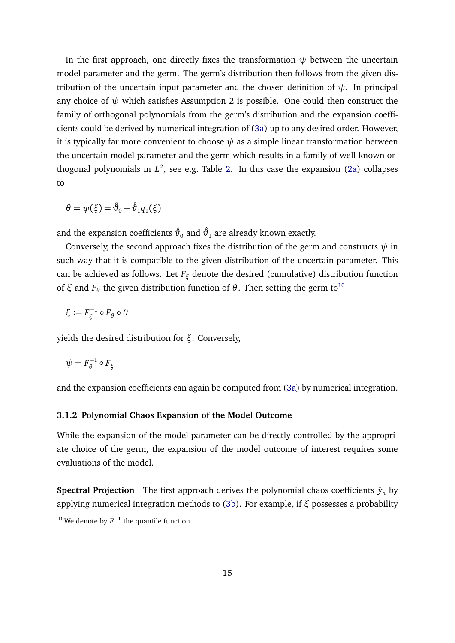In the first approach, one directly fixes the transformation  $\psi$  between the uncertain model parameter and the germ. The germ's distribution then follows from the given distribution of the uncertain input parameter and the chosen definition of  $\psi$ . In principal any choice of  $\psi$  which satisfies Assumption 2 is possible. One could then construct the family of orthogonal polynomials from the germ's distribution and the expansion coefficients could be derived by numerical integration of [\(3a\)](#page-13-3) up to any desired order. However, it is typically far more convenient to choose  $\psi$  as a simple linear transformation between the uncertain model parameter and the germ which results in a family of well-known orthogonal polynomials in *L* 2 , see e.g. Table [2.](#page-12-0) In this case the expansion [\(2a\)](#page-13-1) collapses to

$$
\theta = \psi(\xi) = \hat{\vartheta}_0 + \hat{\vartheta}_1 q_1(\xi)
$$

and the expansion coefficients  $\hat{\vartheta}_0$  and  $\hat{\vartheta}_1$  are already known exactly.

Conversely, the second approach fixes the distribution of the germ and constructs  $\psi$  in such way that it is compatible to the given distribution of the uncertain parameter. This can be achieved as follows. Let *F<sup>ξ</sup>* denote the desired (cumulative) distribution function of  $\xi$  and  $F_\theta$  the given distribution function of  $\theta$ . Then setting the germ to<sup>[10](#page-14-0)</sup>

$$
\xi:=F_\xi^{-1}\circ F_\theta\circ\theta
$$

yields the desired distribution for *ξ*. Conversely,

$$
\psi = F_{\theta}^{-1} \circ F_{\xi}
$$

and the expansion coefficients can again be computed from [\(3a\)](#page-13-3) by numerical integration.

#### <span id="page-14-1"></span>**3.1.2 Polynomial Chaos Expansion of the Model Outcome**

While the expansion of the model parameter can be directly controlled by the appropriate choice of the germ, the expansion of the model outcome of interest requires some evaluations of the model.

**Spectral Projection** The first approach derives the polynomial chaos coefficients  $\hat{y}_n$  by applying numerical integration methods to [\(3b\)](#page-13-4). For example, if *ξ* possesses a probability

<span id="page-14-0"></span><sup>&</sup>lt;sup>10</sup>We denote by  $F^{-1}$  the quantile function.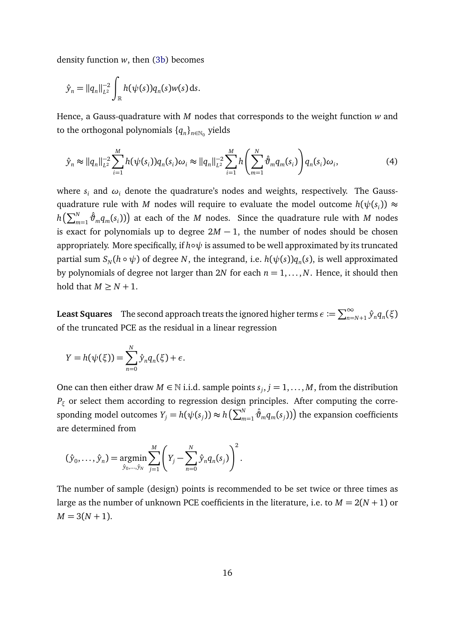density function *w*, then [\(3b\)](#page-13-4) becomes

$$
\hat{y}_n = ||q_n||_{L^2}^{-2} \int_{\mathbb{R}} h(\psi(s)) q_n(s) w(s) \, ds.
$$

Hence, a Gauss-quadrature with *M* nodes that corresponds to the weight function *w* and to the orthogonal polynomials  $\{q_n\}_{n\in\mathbb{N}_0}$  yields

<span id="page-15-0"></span>
$$
\hat{y}_n \approx ||q_n||_{L^2}^{-2} \sum_{i=1}^M h(\psi(s_i)) q_n(s_i) \omega_i \approx ||q_n||_{L^2}^{-2} \sum_{i=1}^M h\left(\sum_{m=1}^N \hat{\vartheta}_m q_m(s_i)\right) q_n(s_i) \omega_i,
$$
\n(4)

where  $s_i$  and  $\omega_i$  denote the quadrature's nodes and weights, respectively. The Gaussquadrature rule with *M* nodes will require to evaluate the model outcome  $h(\psi(s_i)) \approx$  $h\left(\sum_{m=1}^{N}\hat{\vartheta}_{m}q_{m}(s_{i})\right)$  at each of the *M* nodes. Since the quadrature rule with *M* nodes is exact for polynomials up to degree  $2M - 1$ , the number of nodes should be chosen appropriately. More specifically, if *h*∘ $\psi$  is assumed to be well approximated by its truncated partial sum  $S_N(h \circ \psi)$  of degree  $N$ , the integrand, i.e.  $h(\psi(s))q_n(s)$ , is well approximated by polynomials of degree not larger than 2*N* for each  $n = 1, \ldots, N$ . Hence, it should then hold that  $M \geq N + 1$ .

 $\bf{Least~Squares}$   $\;\;\;$  The second approach treats the ignored higher terms  $\epsilon := \sum_{n=N+1}^\infty \hat{y}_n q_n(\xi)$ of the truncated PCE as the residual in a linear regression

$$
Y = h(\psi(\xi)) = \sum_{n=0}^{N} \hat{y}_n q_n(\xi) + \epsilon.
$$

One can then either draw  $M \in \mathbb{N}$  i.i.d. sample points  $s_j$ ,  $j = 1, ..., M$ , from the distribution *P<sup>ξ</sup>* or select them according to regression design principles. After computing the corre- $\sup_j$  sponding model outcomes  $Y_j = h(\psi(s_j)) \approx h\left(\sum_{m=1}^N \hat{\vartheta}_m q_m(s_j))\right)$  the expansion coefficients are determined from

$$
(\hat{y}_0, ..., \hat{y}_n) = \underset{\hat{y}_0, ..., \hat{y}_N}{\text{argmin}} \sum_{j=1}^M \left(Y_j - \sum_{n=0}^N \hat{y}_n q_n(s_j)\right)^2.
$$

The number of sample (design) points is recommended to be set twice or three times as large as the number of unknown PCE coefficients in the literature, i.e. to  $M = 2(N + 1)$  or  $M = 3(N + 1)$ .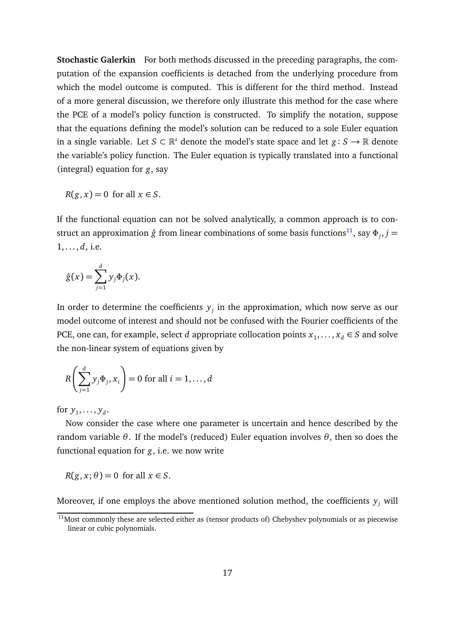**Stochastic Galerkin** For both methods discussed in the preceding paragraphs, the computation of the expansion coefficients is detached from the underlying procedure from which the model outcome is computed. This is different for the third method. Instead of a more general discussion, we therefore only illustrate this method for the case where the PCE of a model's policy function is constructed. To simplify the notation, suppose that the equations defining the model's solution can be reduced to a sole Euler equation in a single variable. Let  $S \subset \mathbb{R}^s$  denote the model's state space and let  $g : S \to \mathbb{R}$  denote the variable's policy function. The Euler equation is typically translated into a functional (integral) equation for *g*, say

 $R(g, x) = 0$  for all  $x \in S$ .

If the functional equation can not be solved analytically, a common approach is to construct an approximation  $\hat{g}$  from linear combinations of some basis functions $^{11}$  $^{11}$  $^{11}$ , say  $\Phi_j, j=$ 1, . . . , *d*, i.e.

$$
\hat{g}(x) = \sum_{j=1}^d y_j \Phi_j(x).
$$

In order to determine the coefficients  $y_j$  in the approximation, which now serve as our model outcome of interest and should not be confused with the Fourier coefficients of the PCE, one can, for example, select *d* appropriate collocation points  $x_1, \ldots, x_d \in S$  and solve the non-linear system of equations given by

$$
R\left(\sum_{j=1}^d y_j \Phi_j, x_i\right) = 0 \text{ for all } i = 1, \dots, d
$$

for  $y_1, \ldots, y_d$ .

Now consider the case where one parameter is uncertain and hence described by the random variable *θ*. If the model's (reduced) Euler equation involves *θ*, then so does the functional equation for *g*, i.e. we now write

 $R(g, x; \theta) = 0$  for all  $x \in S$ .

Moreover, if one employs the above mentioned solution method, the coefficients  $y_j$  will

<span id="page-16-0"></span> $11$ Most commonly these are selected either as (tensor products of) Chebyshev polynomials or as piecewise linear or cubic polynomials.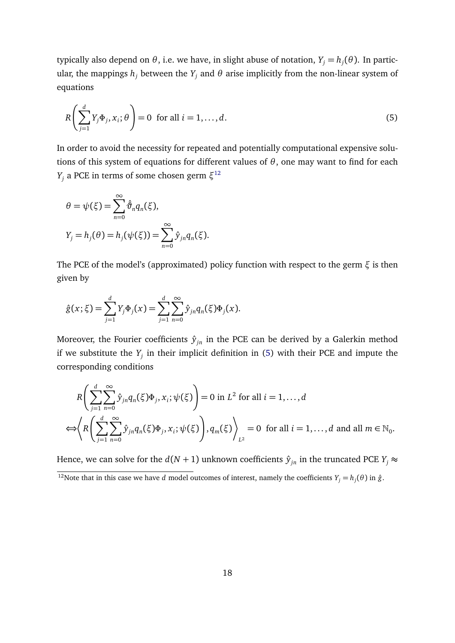typically also depend on *θ*, i.e. we have, in slight abuse of notation, *Y<sup>j</sup>* = *h<sup>j</sup>* (*θ*). In particular, the mappings  $h_j$  between the  $Y_j$  and  $\theta$  arise implicitly from the non-linear system of equations

<span id="page-17-1"></span>
$$
R\left(\sum_{j=1}^{d} Y_j \Phi_j, x_i; \theta\right) = 0 \text{ for all } i = 1, \dots, d.
$$
 (5)

In order to avoid the necessity for repeated and potentially computational expensive solutions of this system of equations for different values of *θ*, one may want to find for each *Y<sup>j</sup>* a PCE in terms of some chosen germ *ξ* [12](#page-17-0)

$$
\theta = \psi(\xi) = \sum_{n=0}^{\infty} \hat{\vartheta}_n q_n(\xi),
$$
  

$$
Y_j = h_j(\theta) = h_j(\psi(\xi)) = \sum_{n=0}^{\infty} \hat{y}_{jn} q_n(\xi).
$$

The PCE of the model's (approximated) policy function with respect to the germ *ξ* is then given by

$$
\hat{g}(x;\xi) = \sum_{j=1}^d Y_j \Phi_j(x) = \sum_{j=1}^d \sum_{n=0}^\infty \hat{y}_{jn} q_n(\xi) \Phi_j(x).
$$

Moreover, the Fourier coefficients  $\hat{y}_{in}$  in the PCE can be derived by a Galerkin method if we substitute the *Y<sup>j</sup>* in their implicit definition in [\(5\)](#page-17-1) with their PCE and impute the corresponding conditions

$$
R\left(\sum_{j=1}^{d}\sum_{n=0}^{\infty}\hat{y}_{jn}q_{n}(\xi)\Phi_{j},x_{i};\psi(\xi)\right)=0 \text{ in } L^{2} \text{ for all } i=1,\ldots,d
$$
  

$$
\Leftrightarrow \left\langle R\left(\sum_{j=1}^{d}\sum_{n=0}^{\infty}\hat{y}_{jn}q_{n}(\xi)\Phi_{j},x_{i};\psi(\xi)\right),q_{m}(\xi)\right\rangle_{L^{2}}=0 \text{ for all } i=1,\ldots,d \text{ and all } m \in \mathbb{N}_{0}.
$$

Hence, we can solve for the  $d(N + 1)$  unknown coefficients  $\hat{y}_{jn}$  in the truncated PCE  $Y_j \approx$ 

<span id="page-17-0"></span><sup>&</sup>lt;sup>12</sup>Note that in this case we have *d* model outcomes of interest, namely the coefficients  $Y_j = h_j(\theta)$  in  $\hat{g}$ .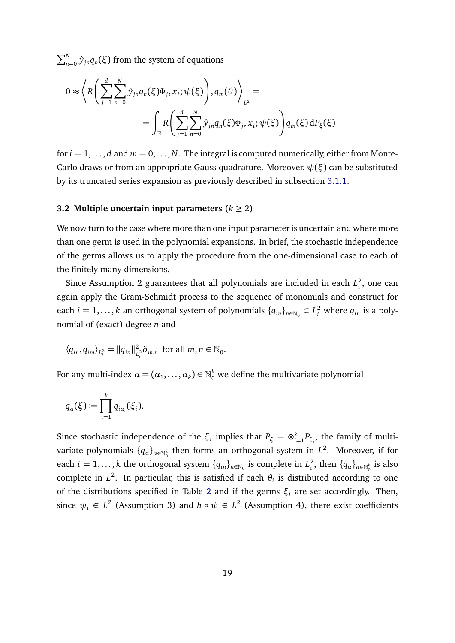$\sum_{n=0}^{N} \hat{y}_{jn} q_{n}(\xi)$  from the system of equations

$$
0 \approx \left\langle R \left( \sum_{j=1}^{d} \sum_{n=0}^{N} \hat{y}_{jn} q_n(\xi) \Phi_j, x_i; \psi(\xi) \right), q_m(\theta) \right\rangle_{L^2} =
$$
  
= 
$$
\int_{\mathbb{R}} R \left( \sum_{j=1}^{d} \sum_{n=0}^{N} \hat{y}_{jn} q_n(\xi) \Phi_j, x_i; \psi(\xi) \right) q_m(\xi) dP_{\xi}(\xi)
$$

for  $i = 1, \ldots, d$  and  $m = 0, \ldots, N$ . The integral is computed numerically, either from Monte-Carlo draws or from an appropriate Gauss quadrature. Moreover, *ψ*(*ξ*) can be substituted by its truncated series expansion as previously described in subsection [3.1.1.](#page-13-5)

#### **3.2 Multiple uncertain input parameters (** $k \ge 2$ **)**

We now turn to the case where more than one input parameter is uncertain and where more than one germ is used in the polynomial expansions. In brief, the stochastic independence of the germs allows us to apply the procedure from the one-dimensional case to each of the finitely many dimensions.

Since Assumption 2 guarantees that all polynomials are included in each *L* 2  $i<sub>i</sub><sup>2</sup>$ , one can again apply the Gram-Schmidt process to the sequence of monomials and construct for each  $i = 1, ..., k$  an orthogonal system of polynomials  $\{q_{in}\}_{n \in \mathbb{N}_0} \subset L_i^2$  where  $q_{in}$  is a polynomial of (exact) degree *n* and

$$
\langle q_{in}, q_{im} \rangle_{L_i^2} = ||q_{in}||_{L_i^2}^2 \delta_{m,n} \text{ for all } m, n \in \mathbb{N}_0.
$$

For any multi-index  $\alpha = (\alpha_1, \ldots, \alpha_k) \in \mathbb{N}_0^k$  we define the multivariate polynomial

$$
q_{\alpha}(\xi) := \prod_{i=1}^k q_{i\alpha_i}(\xi_i).
$$

Since stochastic independence of the  $\xi_i$  implies that  $P_{\xi} = \otimes_{i}^k P_{\xi}$  $\sum_{i=1}^{k} P_{\xi_i}$ , the family of multivariate polynomials  $\{q_\alpha\}_{\alpha\in\mathbb{N}_0^k}$  then forms an orthogonal system in  $L^2$ . Moreover, if for each *i* = 1,..., *k* the orthogonal system  ${q_{in}}_{n \in \mathbb{N}_0}$  is complete in  $L_i^2$ <sup>2</sup><sub>*i*</sub>, then  $\{q_\alpha\}_{\alpha \in \mathbb{N}_0^k}$  is also complete in  $L^2$ . In particular, this is satisfied if each  $\theta_i$  is distributed according to one of the distributions specified in Table [2](#page-12-0) and if the germs *ξ<sup>i</sup>* are set accordingly. Then, since  $\psi_i \in L^2$  (Assumption 3) and  $h \circ \psi \in L^2$  (Assumption 4), there exist coefficients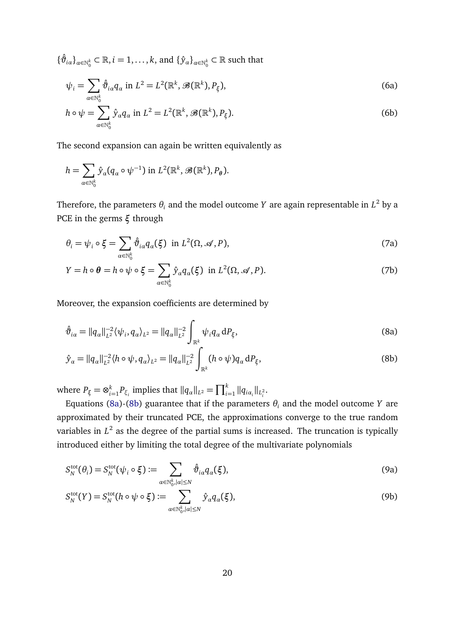$\{\hat{\vartheta}_{i\alpha}\}_{\alpha\in\mathbb{N}_{0}^{k}}\subset\mathbb{R},i=1,\ldots,k,$  and  $\{\hat{y}_{\alpha}\}_{\alpha\in\mathbb{N}_{0}^{k}}\subset\mathbb{R}$  such that

$$
\psi_i = \sum_{\alpha \in \mathbb{N}_0^k} \hat{\vartheta}_{i\alpha} q_{\alpha} \text{ in } L^2 = L^2(\mathbb{R}^k, \mathcal{B}(\mathbb{R}^k), P_{\xi}),
$$
\n
$$
h \circ \psi = \sum \hat{y}_{\alpha} q_{\alpha} \text{ in } L^2 = L^2(\mathbb{R}^k, \mathcal{B}(\mathbb{R}^k), P_{\xi}).
$$
\n(6b)

The second expansion can again be written equivalently as

$$
h = \sum_{\alpha \in \mathbb{N}_0^k} \hat{y}_{\alpha}(q_{\alpha} \circ \psi^{-1}) \text{ in } L^2(\mathbb{R}^k, \mathscr{B}(\mathbb{R}^k), P_{\theta}).
$$

<span id="page-19-4"></span><span id="page-19-2"></span>*α*∈N *k* 0

Therefore, the parameters  $\theta_i$  and the model outcome  $Y$  are again representable in  $L^2$  by a PCE in the germs *ξ* through

$$
\theta_i = \psi_i \circ \xi = \sum_{\alpha \in \mathbb{N}_0^k} \hat{\vartheta}_{i\alpha} q_{\alpha}(\xi) \text{ in } L^2(\Omega, \mathcal{A}, P), \tag{7a}
$$

$$
Y = h \circ \theta = h \circ \psi \circ \xi = \sum_{\alpha \in \mathbb{N}_0^k} \hat{y}_{\alpha} q_{\alpha}(\xi) \text{ in } L^2(\Omega, \mathcal{A}, P). \tag{7b}
$$

Moreover, the expansion coefficients are determined by

<span id="page-19-0"></span>
$$
\hat{\vartheta}_{i\alpha} = ||q_{\alpha}||_{L^{2}}^{-2} \langle \psi_{i}, q_{\alpha} \rangle_{L^{2}} = ||q_{\alpha}||_{L^{2}}^{-2} \int_{\mathbb{R}^{k}} \psi_{i} q_{\alpha} dP_{\xi},
$$
\n(8a)

<span id="page-19-1"></span>
$$
\hat{y}_{\alpha} = ||q_{\alpha}||_{L^{2}}^{-2} \langle h \circ \psi, q_{\alpha} \rangle_{L^{2}} = ||q_{\alpha}||_{L^{2}}^{-2} \int_{\mathbb{R}^{k}} (h \circ \psi) q_{\alpha} dP_{\xi}, \tag{8b}
$$

where  $P_{\xi} = \otimes_{i=1}^{k}$  $\sum_{i=1}^{k} P_{\xi_i}$  implies that  $||q_\alpha||_{L^2} = \prod_{i=1}^{k} ||q_{i\alpha_i}||_{L^2_i}$ .

Equations [\(8a\)](#page-19-0)-[\(8b\)](#page-19-1) guarantee that if the parameters  $\theta_i$  and the model outcome *Y* are approximated by their truncated PCE, the approximations converge to the true random variables in  $L^2$  as the degree of the partial sums is increased. The truncation is typically introduced either by limiting the total degree of the multivariate polynomials

$$
S_N^{\text{tot}}(\theta_i) = S_N^{\text{tot}}(\psi_i \circ \xi) := \sum_{\alpha \in \mathbb{N}_0^k, |\alpha| \le N} \hat{\vartheta}_{i\alpha} q_{\alpha}(\xi), \tag{9a}
$$

<span id="page-19-3"></span>
$$
S_N^{\text{tot}}(Y) = S_N^{\text{tot}}(h \circ \psi \circ \xi) := \sum_{\alpha \in \mathbb{N}_0^k, |\alpha| \le N} \hat{y}_{\alpha} q_{\alpha}(\xi), \tag{9b}
$$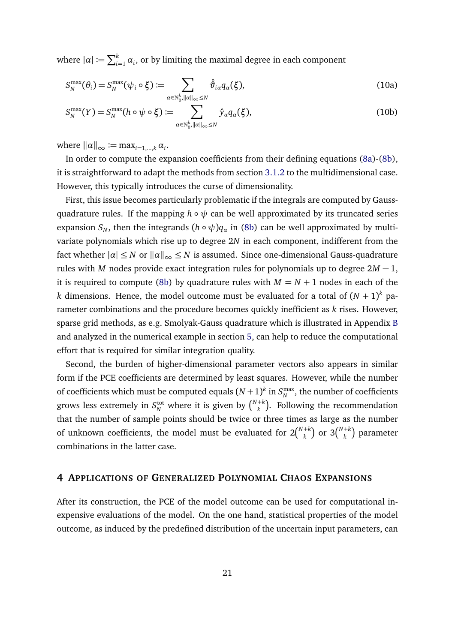where  $|\alpha| \coloneqq \sum_{i=1}^k \alpha_i$ , or by limiting the maximal degree in each component

$$
S_N^{\max}(\theta_i) = S_N^{\max}(\psi_i \circ \xi) := \sum_{\alpha \in \mathbb{N}_0^k, \|\alpha\|_{\infty} \le N} \hat{\vartheta}_{i\alpha} q_{\alpha}(\xi), \tag{10a}
$$

<span id="page-20-1"></span>
$$
S_N^{\max}(Y) = S_N^{\max}(h \circ \psi \circ \xi) := \sum_{\alpha \in \mathbb{N}_0^k, \|\alpha\|_{\infty} \le N} \hat{y}_\alpha q_\alpha(\xi), \tag{10b}
$$

where  $\|\alpha\|_{\infty} \coloneqq \max_{i=1,\dots,k} \alpha_i$ .

In order to compute the expansion coefficients from their defining equations [\(8a\)](#page-19-0)-[\(8b\)](#page-19-1), it is straightforward to adapt the methods from section [3.1.2](#page-14-1) to the multidimensional case. However, this typically introduces the curse of dimensionality.

First, this issue becomes particularly problematic if the integrals are computed by Gaussquadrature rules. If the mapping  $h \circ \psi$  can be well approximated by its truncated series expansion  $S_N$ , then the integrands  $(h \circ \psi)q_\alpha$  in [\(8b\)](#page-19-1) can be well approximated by multivariate polynomials which rise up to degree 2*N* in each component, indifferent from the fact whether  $| \alpha | \leq N$  or  $|| \alpha ||_{\infty} \leq N$  is assumed. Since one-dimensional Gauss-quadrature rules with *M* nodes provide exact integration rules for polynomials up to degree 2*M* − 1, it is required to compute [\(8b\)](#page-19-1) by quadrature rules with  $M = N + 1$  nodes in each of the  $k$  dimensions. Hence, the model outcome must be evaluated for a total of  $(N+1)^k$  parameter combinations and the procedure becomes quickly inefficient as *k* rises. However, sparse grid methods, as e.g. Smolyak-Gauss quadrature which is illustrated in Appendix [B](#page-54-0) and analyzed in the numerical example in section [5,](#page-26-0) can help to reduce the computational effort that is required for similar integration quality.

Second, the burden of higher-dimensional parameter vectors also appears in similar form if the PCE coefficients are determined by least squares. However, while the number of coefficients which must be computed equals  $(N+1)^k$  in  $S_N^{\max}$  $_N^{\max}$ , the number of coefficients grows less extremely in  $S_N^{\text{tot}}$  where it is given by  $\binom{N+k}{k}$  $k \choose k$ . Following the recommendation that the number of sample points should be twice or three times as large as the number of unknown coefficients, the model must be evaluated for  $2\binom{N+k}{k}$  $\binom{k}{k}$  or 3 $\binom{N+k}{k}$  $\binom{+k}{k}$  parameter combinations in the latter case.

#### <span id="page-20-0"></span>**4 APPLICATIONS OF GENERALIZED POLYNOMIAL CHAOS EXPANSIONS**

After its construction, the PCE of the model outcome can be used for computational inexpensive evaluations of the model. On the one hand, statistical properties of the model outcome, as induced by the predefined distribution of the uncertain input parameters, can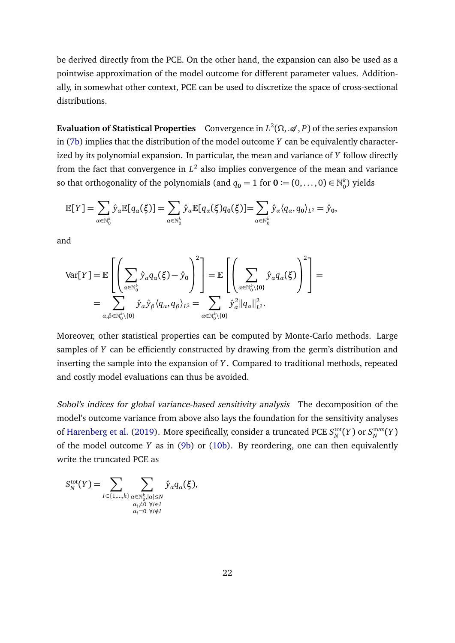be derived directly from the PCE. On the other hand, the expansion can also be used as a pointwise approximation of the model outcome for different parameter values. Additionally, in somewhat other context, PCE can be used to discretize the space of cross-sectional distributions.

**Evaluation of Statistical Properties** Convergence in  $L^2(\Omega,\mathcal{A},P)$  of the series expansion in [\(7b\)](#page-19-2) implies that the distribution of the model outcome *Y* can be equivalently characterized by its polynomial expansion. In particular, the mean and variance of *Y* follow directly from the fact that convergence in  $L^2$  also implies convergence of the mean and variance so that orthogonality of the polynomials (and  $q_{\textbf{0}} = 1$  for  $\textbf{0} \coloneqq (0, \dots, 0) \in \mathbb{N}_0^k$  $_0^{\kappa}$ ) yields

$$
\mathbb{E}[Y] = \sum_{\alpha \in \mathbb{N}_0^k} \hat{y}_{\alpha} \mathbb{E}[q_{\alpha}(\xi)] = \sum_{\alpha \in \mathbb{N}_0^k} \hat{y}_{\alpha} \mathbb{E}[q_{\alpha}(\xi)q_0(\xi)] = \sum_{\alpha \in \mathbb{N}_0^k} \hat{y}_{\alpha} \langle q_{\alpha}, q_0 \rangle_{L^2} = \hat{y}_0,
$$

and

$$
\operatorname{Var}[Y] = \mathbb{E}\left[\left(\sum_{\alpha \in \mathbb{N}_0^k} \hat{y}_\alpha q_\alpha(\xi) - \hat{y}_0\right)^2\right] = \mathbb{E}\left[\left(\sum_{\alpha \in \mathbb{N}_0^k \setminus \{0\}} \hat{y}_\alpha q_\alpha(\xi)\right)^2\right] = \sum_{\alpha, \beta \in \mathbb{N}_0^k \setminus \{0\}} \hat{y}_\alpha \hat{y}_\beta \langle q_\alpha, q_\beta \rangle_{L^2} = \sum_{\alpha \in \mathbb{N}_0^k \setminus \{0\}} \hat{y}_\alpha^2 ||q_\alpha||_{L^2}^2.
$$

Moreover, other statistical properties can be computed by Monte-Carlo methods. Large samples of *Y* can be efficiently constructed by drawing from the germ's distribution and inserting the sample into the expansion of *Y* . Compared to traditional methods, repeated and costly model evaluations can thus be avoided.

Sobol's indices for global variance-based sensitivity analysis The decomposition of the model's outcome variance from above also lays the foundation for the sensitivity analyses of [Harenberg et al.](#page-56-0) [\(2019\)](#page-56-0). More specifically, consider a truncated PCE  $S_N^{\text{tot}}$  $N_N^{\text{tot}}(Y)$  or  $S_N^{\text{max}}$  $\binom{max}{N}(Y)$ of the model outcome *Y* as in [\(9b\)](#page-19-3) or [\(10b\)](#page-20-1). By reordering, one can then equivalently write the truncated PCE as

$$
S_N^{\text{tot}}(Y) = \sum_{I \subset \{1,\ldots,k\}} \sum_{\substack{\alpha \in \mathbb{N}_0^k, |\alpha| \le N \\ \alpha_i \neq 0 \ \forall i \in I \\ \alpha_i = 0 \ \forall i \notin I}} \hat{y}_\alpha q_\alpha(\xi),
$$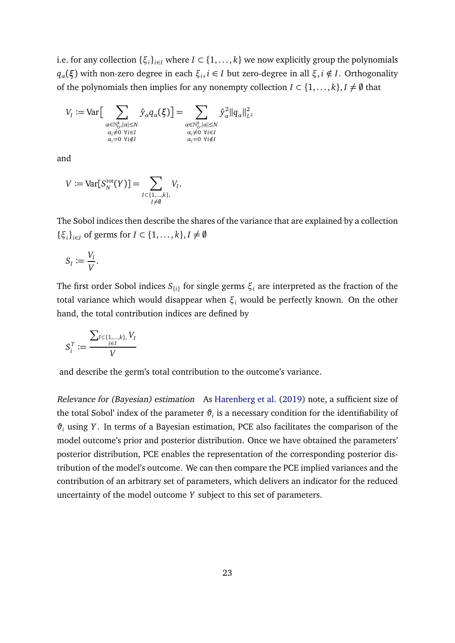i.e. for any collection  $\{\xi_i\}_{i\in I}$  where  $I \subset \{1, \ldots, k\}$  we now explicitly group the polynomials *qα* (*ξ*) with non-zero degree in each *ξ<sup>i</sup>* , *i* ∈ *I* but zero-degree in all *ξ*, *i* ∈*/ I*. Orthogonality of the polynomials then implies for any nonempty collection  $I \subset \{1, \ldots, k\}$ ,  $I \neq \emptyset$  that

$$
V_I := \text{Var}\Big[\sum_{\substack{\alpha \in \mathbb{N}_0^k, |\alpha| \le N \\ \alpha_i \neq 0 \ \forall i \in I \\ \alpha_i = 0 \ \forall i \notin I}} \hat{y}_\alpha q_\alpha(\xi)\Big] = \sum_{\substack{\alpha \in \mathbb{N}_0^k, |\alpha| \le N \\ \alpha_i \neq 0 \ \forall i \in I \\ \alpha_i = 0 \ \forall i \notin I}} \hat{y}_\alpha^2 ||q_\alpha||_{L^2}^2
$$

and

$$
V \coloneqq \mathrm{Var}[S_N^{\mathrm{tot}}(Y)] = \sum_{\substack{I \subset \{1,\ldots,k\}, \\ I \neq \emptyset}} V_I.
$$

The Sobol indices then describe the shares of the variance that are explained by a collection { $\xi_i$ }<sub>*i*∈*I*</sub> of germs for *I* ⊂ {1, ..., *k*}, *I*  $\neq \emptyset$ 

$$
S_I := \frac{V_I}{V}.
$$

The first order Sobol indices  $S_{\{i\}}$  for single germs  $\xi_i$  are interpreted as the fraction of the total variance which would disappear when *ξ<sup>i</sup>* would be perfectly known. On the other hand, the total contribution indices are defined by

$$
S_i^T := \frac{\sum_{I \subset \{1,\ldots,k\},} V_I}{V}
$$

and describe the germ's total contribution to the outcome's variance.

Relevance for (Bayesian) estimation As [Harenberg et al.](#page-56-0) [\(2019\)](#page-56-0) note, a sufficient size of the total Sobol' index of the parameter  $\vartheta_i$  is a necessary condition for the identifiability of *ϑ<sup>i</sup>* using *Y* . In terms of a Bayesian estimation, PCE also facilitates the comparison of the model outcome's prior and posterior distribution. Once we have obtained the parameters' posterior distribution, PCE enables the representation of the corresponding posterior distribution of the model's outcome. We can then compare the PCE implied variances and the contribution of an arbitrary set of parameters, which delivers an indicator for the reduced uncertainty of the model outcome *Y* subject to this set of parameters.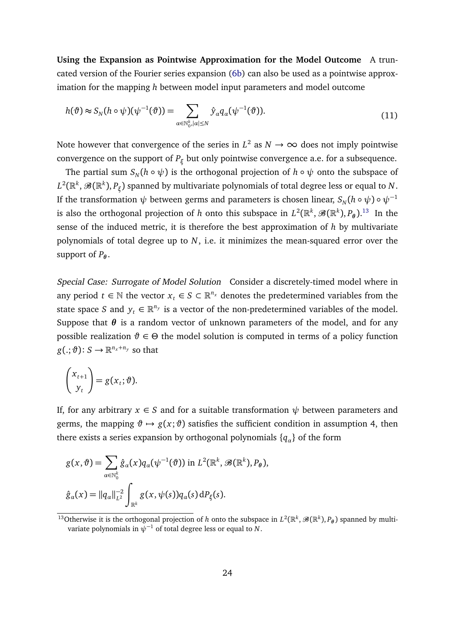**Using the Expansion as Pointwise Approximation for the Model Outcome** A truncated version of the Fourier series expansion [\(6b\)](#page-19-4) can also be used as a pointwise approximation for the mapping *h* between model input parameters and model outcome

<span id="page-23-1"></span>
$$
h(\vartheta) \approx S_N(h \circ \psi)(\psi^{-1}(\vartheta)) = \sum_{\alpha \in \mathbb{N}_0^k, |\alpha| \le N} \hat{y}_\alpha q_\alpha(\psi^{-1}(\vartheta)). \tag{11}
$$

Note however that convergence of the series in  $L^2$  as  $N \to \infty$  does not imply pointwise convergence on the support of  $P_{\xi}$  but only pointwise convergence a.e. for a subsequence.

The partial sum  $S_N(h \circ \psi)$  is the orthogonal projection of  $h \circ \psi$  onto the subspace of  $L^2(\mathbb{R}^k,\mathscr{B}(\mathbb{R}^k),P_\xi)$  spanned by multivariate polynomials of total degree less or equal to  $N.$ If the transformation  $\psi$  between germs and parameters is chosen linear,  $S_N(h \circ \psi) \circ \psi^{-1}$ is also the orthogonal projection of *h* onto this subspace in  $L^2(\mathbb{R}^k,\mathscr{B}(\mathbb{R}^k),P_\theta).^{13}$  $L^2(\mathbb{R}^k,\mathscr{B}(\mathbb{R}^k),P_\theta).^{13}$  $L^2(\mathbb{R}^k,\mathscr{B}(\mathbb{R}^k),P_\theta).^{13}$  In the sense of the induced metric, it is therefore the best approximation of *h* by multivariate polynomials of total degree up to *N*, i.e. it minimizes the mean-squared error over the support of  $P_{\theta}$ .

Special Case: Surrogate of Model Solution Consider a discretely-timed model where in any period  $t \in \mathbb{N}$  the vector  $x_t \in S \subset \mathbb{R}^{n_x}$  denotes the predetermined variables from the state space *S* and  $y_t \in \mathbb{R}^{n_y}$  is a vector of the non-predetermined variables of the model. Suppose that  $\theta$  is a random vector of unknown parameters of the model, and for any possible realization  $\vartheta \in \Theta$  the model solution is computed in terms of a policy function  $g(.; \vartheta) \colon S \to \mathbb{R}^{n_x + n_y}$  so that

$$
\begin{pmatrix} x_{t+1} \\ y_t \end{pmatrix} = g(x_t; \vartheta).
$$

If, for any arbitrary  $x \in S$  and for a suitable transformation  $\psi$  between parameters and germs, the mapping  $\vartheta \mapsto g(x;\vartheta)$  satisfies the sufficient condition in assumption 4, then there exists a series expansion by orthogonal polynomials {*q<sup>α</sup>* } of the form

$$
g(x,\vartheta) = \sum_{\alpha \in \mathbb{N}_0^k} \hat{g}_{\alpha}(x) q_{\alpha}(\psi^{-1}(\vartheta)) \text{ in } L^2(\mathbb{R}^k, \mathscr{B}(\mathbb{R}^k), P_{\theta}),
$$
  

$$
\hat{g}_{\alpha}(x) = ||q_{\alpha}||_{L^2}^{-2} \int_{\mathbb{R}^k} g(x, \psi(s)) q_{\alpha}(s) dP_{\xi}(s).
$$

<span id="page-23-0"></span><sup>&</sup>lt;sup>13</sup>Otherwise it is the orthogonal projection of *h* onto the subspace in  $L^2(\mathbb{R}^k, \mathcal{B}(\mathbb{R}^k), P_\theta)$  spanned by multivariate polynomials in  $\psi^{-1}$  of total degree less or equal to *N*.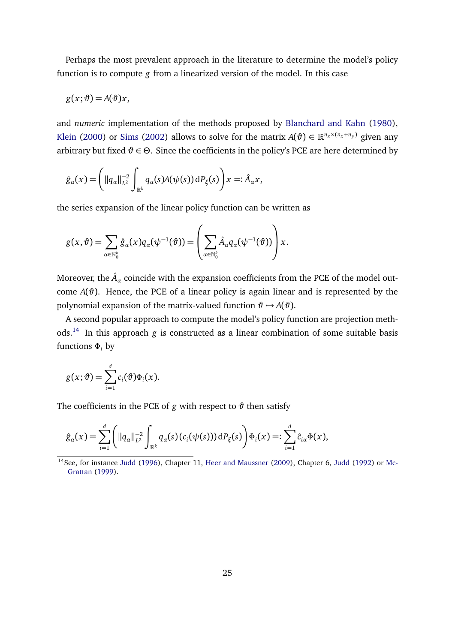Perhaps the most prevalent approach in the literature to determine the model's policy function is to compute *g* from a linearized version of the model. In this case

$$
g(x; \vartheta) = A(\vartheta)x,
$$

and *numeric* implementation of the methods proposed by [Blanchard and Kahn](#page-56-5) [\(1980\)](#page-56-5), [Klein](#page-57-5) [\(2000\)](#page-57-5) or [Sims](#page-57-6) [\(2002\)](#page-57-6) allows to solve for the matrix  $A(\vartheta) \in \mathbb{R}^{n_x \times (n_x + n_y)}$  given any arbitrary but fixed  $\vartheta \in \Theta$ . Since the coefficients in the policy's PCE are here determined by

$$
\hat{g}_{\alpha}(x) = \left( ||q_{\alpha}||_{L^2}^{-2} \int_{\mathbb{R}^k} q_{\alpha}(s) A(\psi(s)) dP_{\xi}(s) \right) x =: \hat{A}_{\alpha} x,
$$

the series expansion of the linear policy function can be written as

$$
g(x,\vartheta)=\sum_{\alpha\in\mathbb{N}_0^k}\hat{g}_\alpha(x)q_\alpha(\psi^{-1}(\vartheta))=\left(\sum_{\alpha\in\mathbb{N}_0^k}\hat{A}_\alpha q_\alpha(\psi^{-1}(\vartheta))\right)x.
$$

Moreover, the  $\hat{A}_\alpha$  coincide with the expansion coefficients from the PCE of the model outcome  $A(\vartheta)$ . Hence, the PCE of a linear policy is again linear and is represented by the polynomial expansion of the matrix-valued function  $\vartheta \mapsto A(\vartheta)$ .

A second popular approach to compute the model's policy function are projection methods.[14](#page-24-0) In this approach *g* is constructed as a linear combination of some suitable basis functions *Φ<sup>i</sup>* by

$$
g(x; \vartheta) = \sum_{i=1}^d c_i(\vartheta) \Phi_i(x).
$$

The coefficients in the PCE of  $g$  with respect to  $\vartheta$  then satisfy

$$
\hat{g}_{\alpha}(x) = \sum_{i=1}^{d} \left( ||q_{\alpha}||_{L^{2}}^{-2} \int_{\mathbb{R}^{k}} q_{\alpha}(s) (c_{i}(\psi(s))) dP_{\xi}(s) \right) \Phi_{i}(x) =: \sum_{i=1}^{d} \hat{c}_{i\alpha} \Phi(x),
$$

<span id="page-24-0"></span><sup>14</sup>See, for instance [Judd](#page-56-8) [\(1996\)](#page-56-6), Chapter 11, [Heer and Maussner](#page-56-7) [\(2009\)](#page-56-7), Chapter 6, Judd [\(1992\)](#page-56-8) or [Mc-](#page-57-7)[Grattan](#page-57-7) [\(1999\)](#page-57-7).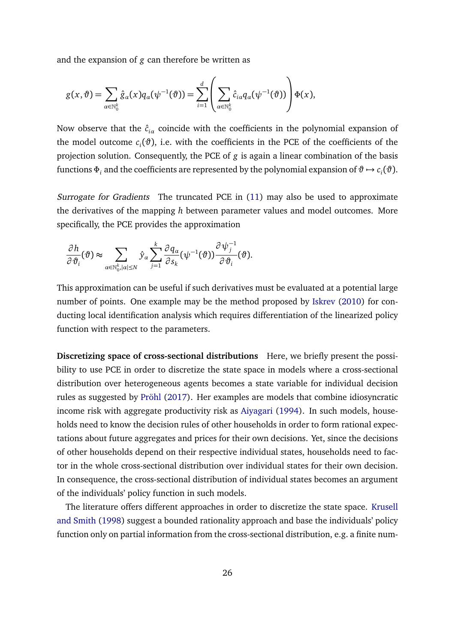and the expansion of *g* can therefore be written as

$$
g(x,\vartheta)=\sum_{a\in\mathbb{N}_0^k}\hat{g}_a(x)q_a(\psi^{-1}(\vartheta))=\sum_{i=1}^d\left(\sum_{a\in\mathbb{N}_0^k}\hat{c}_{ia}q_a(\psi^{-1}(\vartheta))\right)\Phi(x),
$$

Now observe that the  $\hat{c}_{i\alpha}$  coincide with the coefficients in the polynomial expansion of the model outcome  $c_i(\vartheta)$ , i.e. with the coefficients in the PCE of the coefficients of the projection solution. Consequently, the PCE of *g* is again a linear combination of the basis functions  $\Phi_i$  and the coefficients are represented by the polynomial expansion of  $\vartheta \mapsto c_i(\vartheta)$ .

Surrogate for Gradients The truncated PCE in [\(11\)](#page-23-1) may also be used to approximate the derivatives of the mapping *h* between parameter values and model outcomes. More specifically, the PCE provides the approximation

$$
\frac{\partial h}{\partial \vartheta_i}(\vartheta) \approx \sum_{\alpha \in \mathbb{N}_0^k, |\alpha| \leq N} \hat{y}_\alpha \sum_{j=1}^k \frac{\partial q_\alpha}{\partial s_k}(\psi^{-1}(\vartheta)) \frac{\partial \psi_j^{-1}}{\partial \vartheta_i}(\vartheta).
$$

This approximation can be useful if such derivatives must be evaluated at a potential large number of points. One example may be the method proposed by [Iskrev](#page-56-9) [\(2010\)](#page-56-9) for conducting local identification analysis which requires differentiation of the linearized policy function with respect to the parameters.

**Discretizing space of cross-sectional distributions** Here, we briefly present the possibility to use PCE in order to discretize the state space in models where a cross-sectional distribution over heterogeneous agents becomes a state variable for individual decision rules as suggested by [Pröhl](#page-57-0) [\(2017\)](#page-57-0). Her examples are models that combine idiosyncratic income risk with aggregate productivity risk as [Aiyagari](#page-56-10) [\(1994\)](#page-56-10). In such models, households need to know the decision rules of other households in order to form rational expectations about future aggregates and prices for their own decisions. Yet, since the decisions of other households depend on their respective individual states, households need to factor in the whole cross-sectional distribution over individual states for their own decision. In consequence, the cross-sectional distribution of individual states becomes an argument of the individuals' policy function in such models.

The literature offers different approaches in order to discretize the state space. [Krusell](#page-57-8) [and Smith](#page-57-8) [\(1998\)](#page-57-8) suggest a bounded rationality approach and base the individuals' policy function only on partial information from the cross-sectional distribution, e.g. a finite num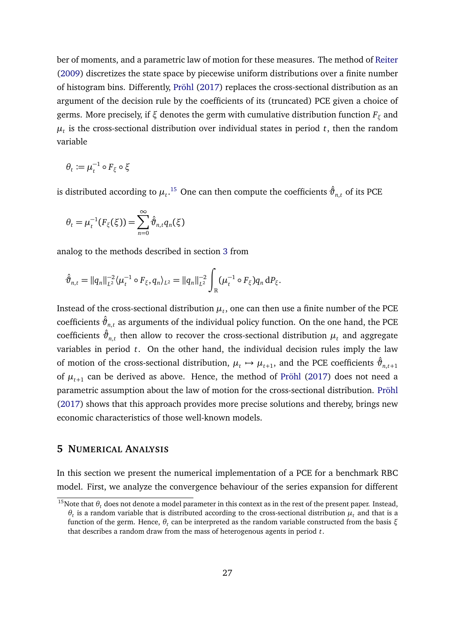ber of moments, and a parametric law of motion for these measures. The method of [Reiter](#page-57-9) [\(2009\)](#page-57-9) discretizes the state space by piecewise uniform distributions over a finite number of histogram bins. Differently, [Pröhl](#page-57-0) [\(2017\)](#page-57-0) replaces the cross-sectional distribution as an argument of the decision rule by the coefficients of its (truncated) PCE given a choice of germs. More precisely, if *ξ* denotes the germ with cumulative distribution function *F<sup>ξ</sup>* and  $\mu_t$  is the cross-sectional distribution over individual states in period  $t$ , then the random variable

$$
\theta_t:=\mu_t^{-1}\circ F_\xi\circ \xi
$$

is distributed according to  $\mu_t.^{\rm 15}$  $\mu_t.^{\rm 15}$  $\mu_t.^{\rm 15}$  One can then compute the coefficients  $\hat{\vartheta}_{n,t}$  of its PCE

$$
\theta_t = \mu_t^{-1}(F_{\xi}(\xi)) = \sum_{n=0}^{\infty} \hat{\vartheta}_{n,t} q_n(\xi)
$$

analog to the methods described in section [3](#page-8-0) from

$$
\hat{\vartheta}_{n,t} = ||q_n||_{L^2}^{-2} \langle \mu_t^{-1} \circ F_{\xi}, q_n \rangle_{L^2} = ||q_n||_{L^2}^{-2} \int_{\mathbb{R}} (\mu_t^{-1} \circ F_{\xi}) q_n dP_{\xi}.
$$

Instead of the cross-sectional distribution  $\mu_t$ , one can then use a finite number of the PCE coefficients  $\hat{\vartheta}_{n,t}$  as arguments of the individual policy function. On the one hand, the PCE coefficients  $\hat{\vartheta}_{n,t}$  then allow to recover the cross-sectional distribution  $\mu_t$  and aggregate variables in period *t*. On the other hand, the individual decision rules imply the law of motion of the cross-sectional distribution,  $\mu_t \mapsto \mu_{t+1}$ , and the PCE coefficients  $\hat{\vartheta}_{n,t+1}$ of  $\mu_{t+1}$  can be derived as above. Hence, the method of [Pröhl](#page-57-0) [\(2017\)](#page-57-0) does not need a parametric assumption about the law of motion for the cross-sectional distribution. [Pröhl](#page-57-0) [\(2017\)](#page-57-0) shows that this approach provides more precise solutions and thereby, brings new economic characteristics of those well-known models.

#### <span id="page-26-0"></span>**5 NUMERICAL ANALYSIS**

In this section we present the numerical implementation of a PCE for a benchmark RBC model. First, we analyze the convergence behaviour of the series expansion for different

<span id="page-26-1"></span><sup>&</sup>lt;sup>15</sup>Note that  $\theta_t$  does not denote a model parameter in this context as in the rest of the present paper. Instead, *θt* is a random variable that is distributed according to the cross-sectional distribution *µ<sup>t</sup>* and that is a function of the germ. Hence, *θ<sup>t</sup>* can be interpreted as the random variable constructed from the basis *ξ* that describes a random draw from the mass of heterogenous agents in period *t*.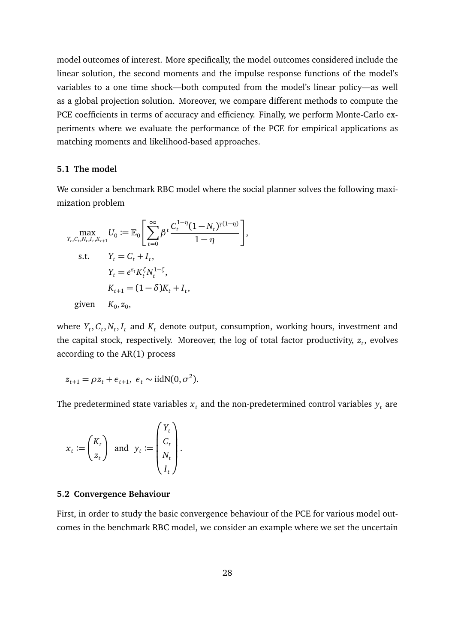model outcomes of interest. More specifically, the model outcomes considered include the linear solution, the second moments and the impulse response functions of the model's variables to a one time shock—both computed from the model's linear policy—as well as a global projection solution. Moreover, we compare different methods to compute the PCE coefficients in terms of accuracy and efficiency. Finally, we perform Monte-Carlo experiments where we evaluate the performance of the PCE for empirical applications as matching moments and likelihood-based approaches.

#### **5.1 The model**

We consider a benchmark RBC model where the social planner solves the following maximization problem

$$
\max_{Y_t, C_t, N_t, I_t, K_{t+1}} U_0 := \mathbb{E}_0 \left[ \sum_{t=0}^{\infty} \beta^t \frac{C_t^{1-\eta} (1 - N_t)^{\gamma(1-\eta)}}{1 - \eta} \right],
$$
  
s.t.  $Y_t = C_t + I_t,$   
 $Y_t = e^{z_t} K_t^{\zeta} N_t^{1-\zeta},$   
 $K_{t+1} = (1 - \delta) K_t + I_t,$   
given  $K_0, z_0,$ 

where  $Y_t$ ,  $C_t$ ,  $N_t$ ,  $I_t$  and  $K_t$  denote output, consumption, working hours, investment and the capital stock, respectively. Moreover, the log of total factor productivity,  $\boldsymbol{z}_t$ , evolves according to the AR(1) process

$$
z_{t+1} = \rho z_t + \epsilon_{t+1}, \ \epsilon_t \sim \text{iidN}(0, \sigma^2).
$$

The predetermined state variables  $x_t$  and the non-predetermined control variables  $y_t$  are

$$
x_t := \begin{pmatrix} K_t \\ z_t \end{pmatrix} \text{ and } y_t := \begin{pmatrix} Y_t \\ C_t \\ N_t \\ I_t \end{pmatrix}.
$$

#### **5.2 Convergence Behaviour**

First, in order to study the basic convergence behaviour of the PCE for various model outcomes in the benchmark RBC model, we consider an example where we set the uncertain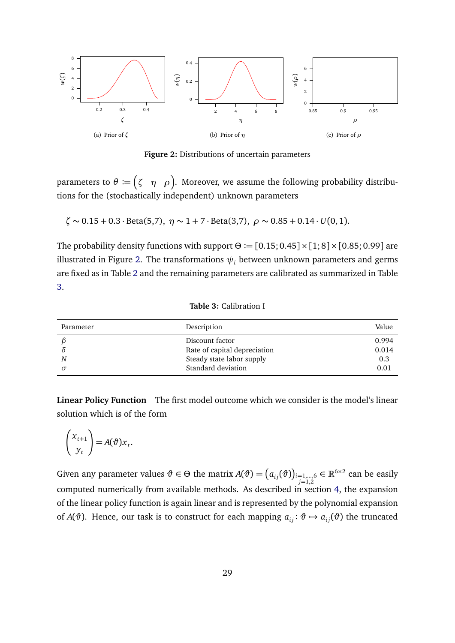<span id="page-28-0"></span>

**Figure 2:** Distributions of uncertain parameters

parameters to  $\theta \coloneqq \begin{pmatrix} \zeta & \eta & \rho \end{pmatrix}$ . Moreover, we assume the following probability distributions for the (stochastically independent) unknown parameters

$$
\zeta \sim 0.15 + 0.3 \cdot \text{Beta}(5,7), \ \eta \sim 1 + 7 \cdot \text{Beta}(3,7), \ \rho \sim 0.85 + 0.14 \cdot U(0,1).
$$

The probability density functions with support  $\Theta := [0.15; 0.45] \times [1; 8] \times [0.85; 0.99]$  are illustrated in Figure [2.](#page-28-0) The transformations  $\psi_i$  between unknown parameters and germs are fixed as in Table [2](#page-12-0) and the remaining parameters are calibrated as summarized in Table [3.](#page-28-1)

**Table 3:** Calibration I

<span id="page-28-1"></span>

| Parameter | Description                  | Value |
|-----------|------------------------------|-------|
|           | Discount factor              | 0.994 |
|           | Rate of capital depreciation | 0.014 |
|           | Steady state labor supply    | 0.3   |
|           | Standard deviation           | 0.01  |

**Linear Policy Function** The first model outcome which we consider is the model's linear solution which is of the form

$$
\begin{pmatrix} x_{t+1} \\ y_t \end{pmatrix} = A(\vartheta) x_t.
$$

Given any parameter values  $\vartheta \in \Theta$  the matrix  $A(\vartheta) = \big(a_{ij}(\vartheta)\big)_{i=1,...,6}$ *j*=1,2  $\in \mathbb{R}^{6 \times 2}$  can be easily computed numerically from available methods. As described in section [4,](#page-20-0) the expansion of the linear policy function is again linear and is represented by the polynomial expansion of *A*( $\vartheta$ ). Hence, our task is to construct for each mapping  $a_{ij}$ :  $\vartheta \mapsto a_{ij}(\vartheta)$  the truncated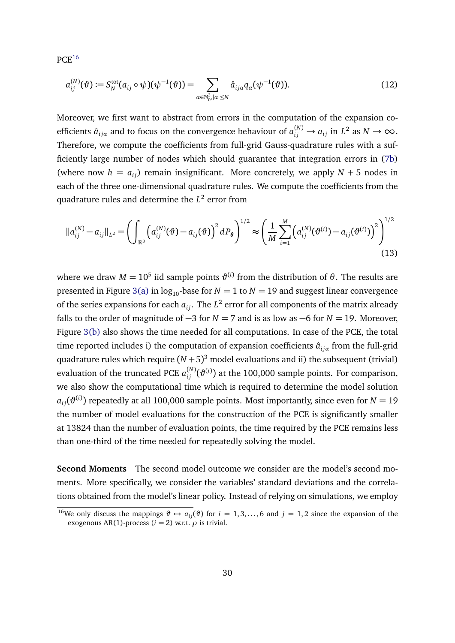<span id="page-29-1"></span> $PCE<sup>16</sup>$  $PCE<sup>16</sup>$  $PCE<sup>16</sup>$ 

$$
a_{ij}^{(N)}(\boldsymbol{\vartheta}) := S_N^{\text{tot}}(a_{ij} \circ \psi)(\psi^{-1}(\boldsymbol{\vartheta})) = \sum_{\alpha \in \mathbb{N}_0^3, |\alpha| \le N} \hat{a}_{ij\alpha} q_{\alpha}(\psi^{-1}(\boldsymbol{\vartheta})). \tag{12}
$$

Moreover, we first want to abstract from errors in the computation of the expansion coefficients  $\hat{a}_{ij\alpha}$  and to focus on the convergence behaviour of  $a_{ij}^{(N)} \to a_{ij}$  in  $L^2$  as  $N \to \infty$ . Therefore, we compute the coefficients from full-grid Gauss-quadrature rules with a sufficiently large number of nodes which should guarantee that integration errors in [\(7b\)](#page-19-2) (where now  $h = a_{ij}$ ) remain insignificant. More concretely, we apply  $N + 5$  nodes in each of the three one-dimensional quadrature rules. We compute the coefficients from the quadrature rules and determine the *L* 2 error from

<span id="page-29-2"></span>
$$
||a_{ij}^{(N)} - a_{ij}||_{L^2} = \left(\int_{\mathbb{R}^3} \left(a_{ij}^{(N)}(\vartheta) - a_{ij}(\vartheta)\right)^2 dP_{\theta}\right)^{1/2} \approx \left(\frac{1}{M} \sum_{i=1}^M \left(a_{ij}^{(N)}(\vartheta^{(i)}) - a_{ij}(\vartheta^{(i)})\right)^2\right)^{1/2}
$$
(13)

where we draw  $M = 10^5$  iid sample points  $\vartheta^{(i)}$  from the distribution of  $\theta$ . The results are presented in Figure [3\(a\)](#page-30-0) in  $log_{10}$ -base for  $N = 1$  to  $N = 19$  and suggest linear convergence of the series expansions for each  $a_{ij}.$  The  $L^2$  error for all components of the matrix already falls to the order of magnitude of  $-3$  for  $N = 7$  and is as low as  $-6$  for  $N = 19$ . Moreover, Figure [3\(b\)](#page-30-1) also shows the time needed for all computations. In case of the PCE, the total time reported includes i) the computation of expansion coefficients  $\hat{a}_{ij\alpha}$  from the full-grid quadrature rules which require  $(N+5)^3$  model evaluations and ii) the subsequent (trivial) evaluation of the truncated PCE  $a_{ij}^{(N)}(\vartheta^{(i)})$  at the 100,000 sample points. For comparison, we also show the computational time which is required to determine the model solution  $a_{ij}(\vartheta^{(i)})$  repeatedly at all 100,000 sample points. Most importantly, since even for  $N=19$ the number of model evaluations for the construction of the PCE is significantly smaller at 13824 than the number of evaluation points, the time required by the PCE remains less than one-third of the time needed for repeatedly solving the model.

**Second Moments** The second model outcome we consider are the model's second moments. More specifically, we consider the variables' standard deviations and the correlations obtained from the model's linear policy. Instead of relying on simulations, we employ

<span id="page-29-0"></span><sup>&</sup>lt;sup>16</sup>We only discuss the mappings  $\vartheta \mapsto a_{ij}(\vartheta)$  for  $i = 1, 3, ..., 6$  and  $j = 1, 2$  since the expansion of the exogenous AR(1)-process (*i* = 2) w.r.t. *ρ* is trivial.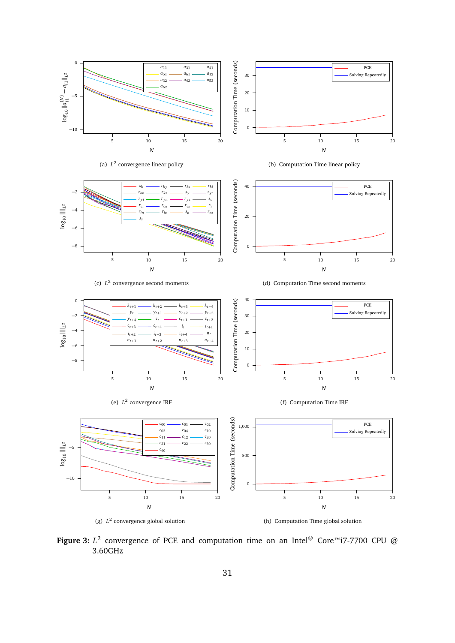<span id="page-30-4"></span><span id="page-30-3"></span><span id="page-30-2"></span><span id="page-30-1"></span><span id="page-30-0"></span>

<span id="page-30-6"></span><span id="page-30-5"></span>**Figure 3:**  $L^2$  convergence of PCE and computation time on an Intel® Core™i7-7700 CPU @ 3.60GHz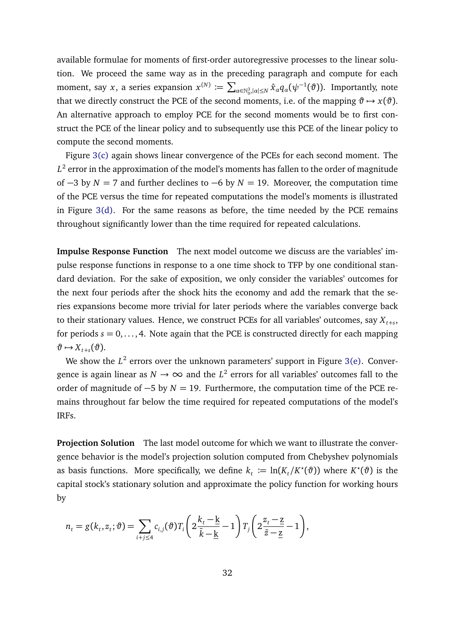available formulae for moments of first-order autoregressive processes to the linear solution. We proceed the same way as in the preceding paragraph and compute for each moment, say  $x$ , a series expansion  $x^{(N)}\coloneqq\sum_{\alpha\in\mathbb{N}_0^3,|\alpha|\leq N}\hat{x}_\alpha q_\alpha(\psi^{-1}(\vartheta)).$  Importantly, note that we directly construct the PCE of the second moments, i.e. of the mapping  $\vartheta \mapsto x(\vartheta)$ . An alternative approach to employ PCE for the second moments would be to first construct the PCE of the linear policy and to subsequently use this PCE of the linear policy to compute the second moments.

Figure [3\(c\)](#page-30-2) again shows linear convergence of the PCEs for each second moment. The  $L^2$  error in the approximation of the model's moments has fallen to the order of magnitude of  $-3$  by *N* = 7 and further declines to  $-6$  by *N* = 19. Moreover, the computation time of the PCE versus the time for repeated computations the model's moments is illustrated in Figure [3\(d\).](#page-30-3) For the same reasons as before, the time needed by the PCE remains throughout significantly lower than the time required for repeated calculations.

**Impulse Response Function** The next model outcome we discuss are the variables' impulse response functions in response to a one time shock to TFP by one conditional standard deviation. For the sake of exposition, we only consider the variables' outcomes for the next four periods after the shock hits the economy and add the remark that the series expansions become more trivial for later periods where the variables converge back to their stationary values. Hence, we construct PCEs for all variables' outcomes, say  $X_{t+s}$ , for periods  $s = 0, \ldots, 4$ . Note again that the PCE is constructed directly for each mapping  $\vartheta \mapsto X_{t+s}(\vartheta).$ 

We show the  $L^2$  errors over the unknown parameters' support in Figure [3\(e\).](#page-30-4) Convergence is again linear as  $N \to \infty$  and the  $L^2$  errors for all variables' outcomes fall to the order of magnitude of −5 by *N* = 19. Furthermore, the computation time of the PCE remains throughout far below the time required for repeated computations of the model's IRFs.

**Projection Solution** The last model outcome for which we want to illustrate the convergence behavior is the model's projection solution computed from Chebyshev polynomials as basis functions. More specifically, we define  $k_t := \ln(K_t/K^*(\theta))$  where  $K^*(\theta)$  is the capital stock's stationary solution and approximate the policy function for working hours by

$$
n_t = g(k_t, z_t; \vartheta) = \sum_{i+j \leq 4} c_{i,j}(\vartheta) T_i \left( 2\frac{k_t - \underline{k}}{\overline{k} - \underline{k}} - 1 \right) T_j \left( 2\frac{z_t - \underline{z}}{\overline{z} - \underline{z}} - 1 \right),
$$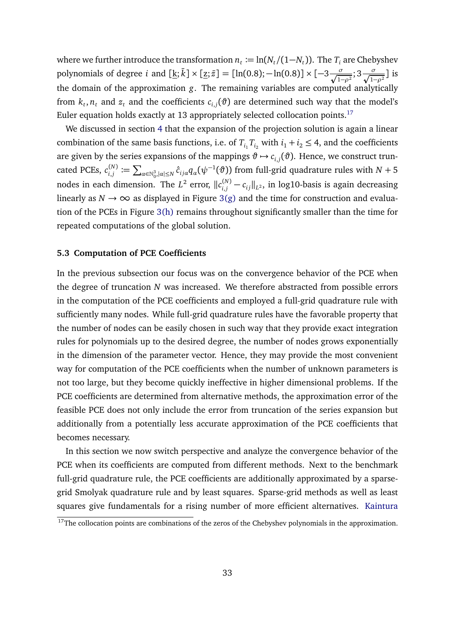where we further introduce the transformation  $n_t := \ln(N_t/(1-N_t))$ . The  $T_i$  are Chebyshev polynomials of degree *i* and  $[\underline{k}; \bar{k}] \times [\underline{z}; \bar{z}] = [\ln(0.8); -\ln(0.8)] \times [-3\frac{\sigma}{\sqrt{1-\rho^2}}; 3\frac{\sigma}{\sqrt{1-\rho^2}}]$  is the domain of the approximation *g*. The remaining variables are computed analytically from  $k_t, n_t$  and  $z_t$  and the coefficients  $c_{i,j}(\vartheta)$  are determined such way that the model's Euler equation holds exactly at 13 appropriately selected collocation points.<sup>[17](#page-32-0)</sup>

We discussed in section [4](#page-20-0) that the expansion of the projection solution is again a linear combination of the same basis functions, i.e. of  $T_{i_1} T_{i_2}$  with  $i_1 + i_2 \leq 4$ , and the coefficients are given by the series expansions of the mappings  $\vartheta \mapsto c_{i,j}(\vartheta)$ . Hence, we construct truncated PCEs,  $c_{i,i}^{(N)}$  $f^{(N)}_{i,j} := \sum_{\alpha \in \mathbb{N}_0^3, |\alpha| \leq N} \hat{c}_{i j \alpha} q_{\alpha} (\psi^{-1}(\vartheta))$  from full-grid quadrature rules with  $N+5$ nodes in each dimension. The  $L^2$  error,  $\|c_{i,j}^{(N)} - c_{ij}\|_{L^2}$ , in log10-basis is again decreasing linearly as  $N \to \infty$  as displayed in Figure [3\(g\)](#page-30-5) and the time for construction and evaluation of the PCEs in Figure [3\(h\)](#page-30-6) remains throughout significantly smaller than the time for repeated computations of the global solution.

#### **5.3 Computation of PCE Coefficients**

In the previous subsection our focus was on the convergence behavior of the PCE when the degree of truncation *N* was increased. We therefore abstracted from possible errors in the computation of the PCE coefficients and employed a full-grid quadrature rule with sufficiently many nodes. While full-grid quadrature rules have the favorable property that the number of nodes can be easily chosen in such way that they provide exact integration rules for polynomials up to the desired degree, the number of nodes grows exponentially in the dimension of the parameter vector. Hence, they may provide the most convenient way for computation of the PCE coefficients when the number of unknown parameters is not too large, but they become quickly ineffective in higher dimensional problems. If the PCE coefficients are determined from alternative methods, the approximation error of the feasible PCE does not only include the error from truncation of the series expansion but additionally from a potentially less accurate approximation of the PCE coefficients that becomes necessary.

In this section we now switch perspective and analyze the convergence behavior of the PCE when its coefficients are computed from different methods. Next to the benchmark full-grid quadrature rule, the PCE coefficients are additionally approximated by a sparsegrid Smolyak quadrature rule and by least squares. Sparse-grid methods as well as least squares give fundamentals for a rising number of more efficient alternatives. [Kaintura](#page-56-2)

<span id="page-32-0"></span> $\frac{17}{17}$ [The collocation points are combinations of the zeros of the Chebyshev polynomials in the approximation.](#page-56-2)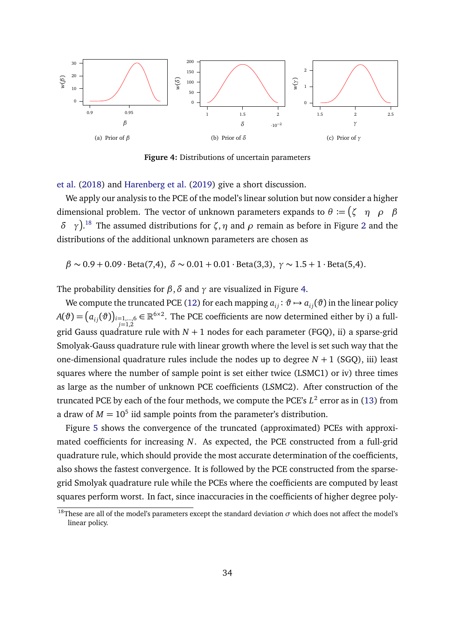<span id="page-33-1"></span>

**Figure 4:** Distributions of uncertain parameters

[et al.](#page-56-2) [\(2018\)](#page-56-2) and [Harenberg et al.](#page-56-0) [\(2019\)](#page-56-0) give a short discussion.

We apply our analysis to the PCE of the model's linear solution but now consider a higher dimensional problem. The vector of unknown parameters expands to  $\theta := \begin{pmatrix} \zeta & \eta & \rho & \beta \end{pmatrix}$ *δ γ* . [18](#page-33-0) The assumed distributions for *ζ*,*η* and *ρ* remain as before in Figure [2](#page-28-0) and the distributions of the additional unknown parameters are chosen as

*β* ∼ 0.9 + 0.09 · Beta(7,4), *δ* ∼ 0.01 + 0.01 · Beta(3,3), *γ* ∼ 1.5 + 1 · Beta(5,4).

The probability densities for  $\beta$ ,  $\delta$  and  $\gamma$  are visualized in Figure [4.](#page-33-1)

We compute the truncated PCE [\(12\)](#page-29-1) for each mapping  $a_{ij} : \vartheta \mapsto a_{ij}(\vartheta)$  in the linear policy  $A(\vartheta)=\big(a_{ij}(\vartheta)\big)_{i=1,...,6}\in\mathbb{R}^{6\times 2}.$  The PCE coefficients are now determined either by i) a full*j*=1,2 grid Gauss quadrature rule with *N* + 1 nodes for each parameter (FGQ), ii) a sparse-grid Smolyak-Gauss quadrature rule with linear growth where the level is set such way that the one-dimensional quadrature rules include the nodes up to degree  $N + 1$  (SGQ), iii) least squares where the number of sample point is set either twice (LSMC1) or iv) three times as large as the number of unknown PCE coefficients (LSMC2). After construction of the truncated PCE by each of the four methods, we compute the PCE's *L* 2 error as in [\(13\)](#page-29-2) from a draw of  $M = 10^5$  iid sample points from the parameter's distribution.

Figure [5](#page-34-0) shows the convergence of the truncated (approximated) PCEs with approximated coefficients for increasing *N*. As expected, the PCE constructed from a full-grid quadrature rule, which should provide the most accurate determination of the coefficients, also shows the fastest convergence. It is followed by the PCE constructed from the sparsegrid Smolyak quadrature rule while the PCEs where the coefficients are computed by least squares perform worst. In fact, since inaccuracies in the coefficients of higher degree poly-

<span id="page-33-0"></span><sup>&</sup>lt;sup>18</sup>These are all of the model's parameters except the standard deviation  $\sigma$  which does not affect the model's linear policy.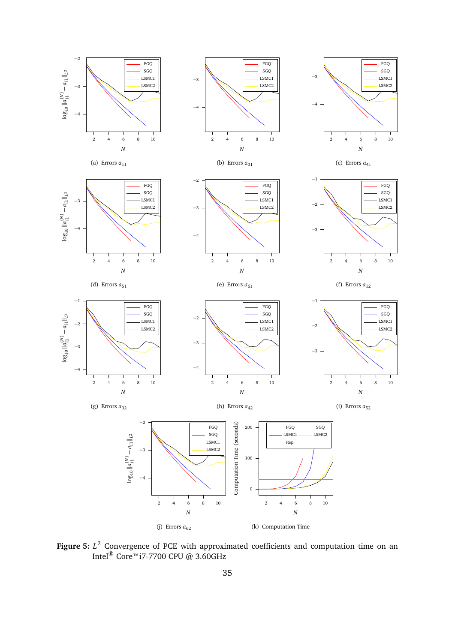<span id="page-34-0"></span>

<span id="page-34-1"></span>**Figure 5:** *L* <sup>2</sup> Convergence of PCE with approximated coefficients and computation time on an Intel® Core™i7-7700 CPU @ 3.60GHz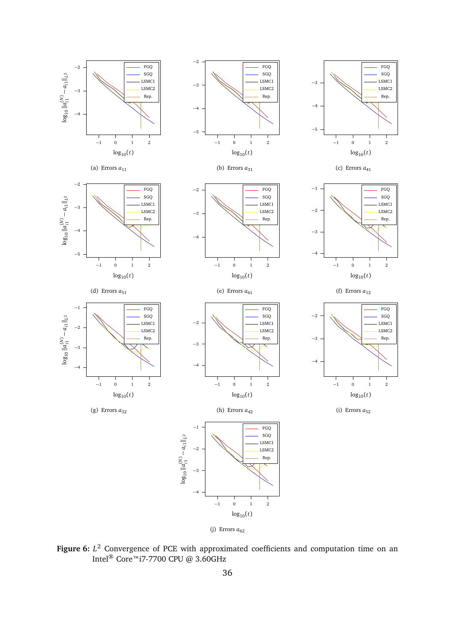<span id="page-35-0"></span>

**Figure 6:** *L* <sup>2</sup> Convergence of PCE with approximated coefficients and computation time on an Intel® Core™i7-7700 CPU @ 3.60GHz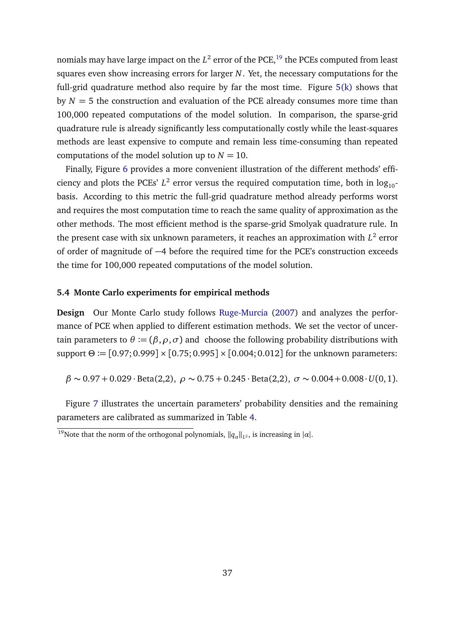nomials may have large impact on the  $L^2$  error of the PCE,  $^{19}$  $^{19}$  $^{19}$  the PCEs computed from least squares even show increasing errors for larger *N*. Yet, the necessary computations for the full-grid quadrature method also require by far the most time. Figure  $5(k)$  shows that by  $N = 5$  the construction and evaluation of the PCE already consumes more time than 100,000 repeated computations of the model solution. In comparison, the sparse-grid quadrature rule is already significantly less computationally costly while the least-squares methods are least expensive to compute and remain less time-consuming than repeated computations of the model solution up to  $N = 10$ .

Finally, Figure [6](#page-35-0) provides a more convenient illustration of the different methods' efficiency and plots the PCEs'  $L^2$  error versus the required computation time, both in  $\log_{10}$ basis. According to this metric the full-grid quadrature method already performs worst and requires the most computation time to reach the same quality of approximation as the other methods. The most efficient method is the sparse-grid Smolyak quadrature rule. In the present case with six unknown parameters, it reaches an approximation with  $L^2$  error of order of magnitude of −4 before the required time for the PCE's construction exceeds the time for 100,000 repeated computations of the model solution.

#### **5.4 Monte Carlo experiments for empirical methods**

**Design** Our Monte Carlo study follows [Ruge-Murcia](#page-57-2) [\(2007\)](#page-57-2) and analyzes the performance of PCE when applied to different estimation methods. We set the vector of uncertain parameters to  $\theta := (\beta, \rho, \sigma)$  and choose the following probability distributions with support *Θ* := [0.97; 0.999] × [0.75; 0.995] × [0.004; 0.012] for the unknown parameters:

$$
\beta \sim 0.97 + 0.029 \cdot \text{Beta}(2,2), \ \rho \sim 0.75 + 0.245 \cdot \text{Beta}(2,2), \ \sigma \sim 0.004 + 0.008 \cdot U(0,1).
$$

Figure [7](#page-37-0) illustrates the uncertain parameters' probability densities and the remaining parameters are calibrated as summarized in Table [4.](#page-37-1)

<span id="page-36-0"></span><sup>&</sup>lt;sup>19</sup>Note that the norm of the orthogonal polynomials,  $\|q_\alpha\|_{L^2}$ , is increasing in  $|\alpha|$ .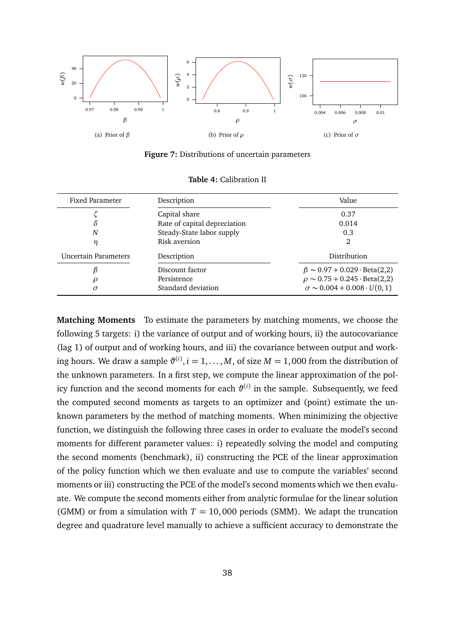<span id="page-37-0"></span>

**Figure 7:** Distributions of uncertain parameters

<span id="page-37-1"></span>

| <b>Fixed Parameter</b>      | Description                  | Value                                            |
|-----------------------------|------------------------------|--------------------------------------------------|
|                             | Capital share                | 0.37                                             |
| δ                           | Rate of capital depreciation | 0.014                                            |
| N                           | Steady-State labor supply    | 0.3                                              |
| η                           | Risk aversion                | 2                                                |
| <b>Uncertain Parameters</b> | Description                  | Distribution                                     |
| ß                           | Discount factor              | $\beta \sim 0.97 + 0.029 \cdot \text{Beta}(2,2)$ |
| ρ                           | Persistence                  | $\rho \sim 0.75 + 0.245 \cdot \text{Beta}(2,2)$  |
| $\sigma$                    | Standard deviation           | $\sigma \sim 0.004 + 0.008 \cdot U(0, 1)$        |

**Table 4:** Calibration II

**Matching Moments** To estimate the parameters by matching moments, we choose the following 5 targets: i) the variance of output and of working hours, ii) the autocovariance (lag 1) of output and of working hours, and iii) the covariance between output and working hours. We draw a sample  $\vartheta^{(i)}$ ,  $i = 1, ..., M$ , of size  $M = 1,000$  from the distribution of the unknown parameters. In a first step, we compute the linear approximation of the policy function and the second moments for each  $\vartheta^{(i)}$  in the sample. Subsequently, we feed the computed second moments as targets to an optimizer and (point) estimate the unknown parameters by the method of matching moments. When minimizing the objective function, we distinguish the following three cases in order to evaluate the model's second moments for different parameter values: i) repeatedly solving the model and computing the second moments (benchmark), ii) constructing the PCE of the linear approximation of the policy function which we then evaluate and use to compute the variables' second moments or iii) constructing the PCE of the model's second moments which we then evaluate. We compute the second moments either from analytic formulae for the linear solution (GMM) or from a simulation with  $T = 10,000$  periods (SMM). We adapt the truncation degree and quadrature level manually to achieve a sufficient accuracy to demonstrate the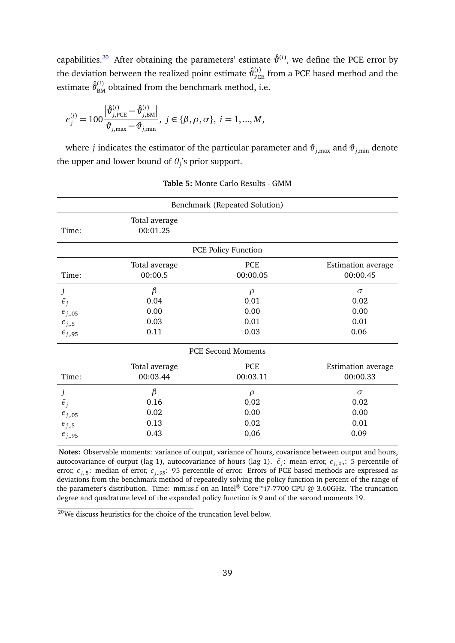capabilities.<sup>[20](#page-38-0)</sup> After obtaining the parameters' estimate  $\hat{\vartheta}^{(i)}$ , we define the PCE error by the deviation between the realized point estimate  $\hat{\vartheta}_{\text{PCE}}^{(i)}$  from a PCE based method and the estimate  $\hat{\vartheta}_{\text{\tiny BM}}^{(i)}$  obtained from the benchmark method, i.e.

$$
\epsilon_j^{(i)}=100\frac{\left|\hat{\vartheta}_{j,\text{PCE}}^{(i)}-\hat{\vartheta}_{j,\text{BM}}^{(i)}\right|}{\vartheta_{j,\text{max}}-\vartheta_{j,\text{min}}},\;j\in\{\beta,\rho,\sigma\},\;i=1,...,M,
$$

where *j* indicates the estimator of the particular parameter and  $\vartheta_{i,\text{max}}$  and  $\vartheta_{i,\text{min}}$  denote the upper and lower bound of *θ<sup>j</sup>* 's prior support.

<span id="page-38-1"></span>

| Benchmark (Repeated Solution)                                                         |                                                                                      |                                        |                                          |  |  |  |  |
|---------------------------------------------------------------------------------------|--------------------------------------------------------------------------------------|----------------------------------------|------------------------------------------|--|--|--|--|
| Time:                                                                                 | Total average<br>00:01.25                                                            |                                        |                                          |  |  |  |  |
|                                                                                       |                                                                                      | <b>PCE Policy Function</b>             |                                          |  |  |  |  |
| Time:                                                                                 | <b>PCE</b><br>Estimation average<br>Total average<br>00:00.5<br>00:00.05<br>00:00.45 |                                        |                                          |  |  |  |  |
| j<br>$\bar{\epsilon}_j$<br>$\epsilon_{j,05}$<br>$\epsilon_{j,5}$<br>$\epsilon_{j,95}$ | $\beta$<br>0.04<br>0.00<br>0.03<br>0.11                                              | $\rho$<br>0.01<br>0.00<br>0.01<br>0.03 | $\sigma$<br>0.02<br>0.00<br>0.01<br>0.06 |  |  |  |  |
| <b>PCE Second Moments</b>                                                             |                                                                                      |                                        |                                          |  |  |  |  |
| Time:                                                                                 | Total average<br>00:03.44                                                            | PCE<br>00:03.11                        | Estimation average<br>00:00.33           |  |  |  |  |
| j<br>$\bar{\epsilon}_j$<br>$\epsilon_{j,05}$<br>$\epsilon_{j,5}$<br>$\epsilon_{j,95}$ | $\beta$<br>0.16<br>0.02<br>0.13<br>0.43                                              | $\rho$<br>0.02<br>0.00<br>0.02<br>0.06 | $\sigma$<br>0.02<br>0.00<br>0.01<br>0.09 |  |  |  |  |

**Table 5:** Monte Carlo Results - GMM

**Notes:** Observable moments: variance of output, variance of hours, covariance between output and hours, autocovariance of output (lag 1), autocovariance of hours (lag 1).  $\bar{\epsilon}_j$ : mean error,  $\epsilon_{j,05}$ : 5 percentile of error, *εj*,.5: median of error, *εj*,.95: 95 percentile of error. Errors of PCE based methods are expressed as deviations from the benchmark method of repeatedly solving the policy function in percent of the range of the parameter's distribution. Time: mm:ss.f on an Intel® Core™i7-7700 CPU @ 3.60GHz. The truncation degree and quadrature level of the expanded policy function is 9 and of the second moments 19.

<span id="page-38-0"></span> $20$ We discuss heuristics for the choice of the truncation level below.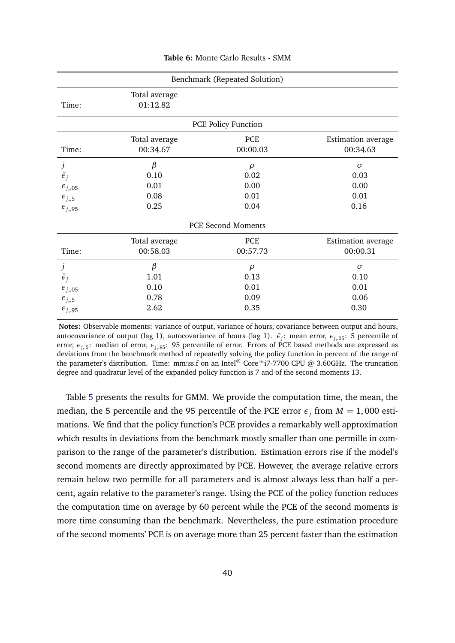<span id="page-39-0"></span>

| Benchmark (Repeated Solution)                                                                  |                                         |                                        |                                          |  |  |  |  |  |
|------------------------------------------------------------------------------------------------|-----------------------------------------|----------------------------------------|------------------------------------------|--|--|--|--|--|
| Time:                                                                                          | Total average<br>01:12.82               |                                        |                                          |  |  |  |  |  |
|                                                                                                | <b>PCE Policy Function</b>              |                                        |                                          |  |  |  |  |  |
| PCE<br>Total average<br><b>Estimation</b> average<br>00:34.67<br>00:00.03<br>00:34.63<br>Time: |                                         |                                        |                                          |  |  |  |  |  |
| j<br>$\bar{\epsilon}_i$<br>$\epsilon_{j,05}$<br>$\epsilon_{j,5}$<br>$\epsilon_{j,95}$          | $\beta$<br>0.10<br>0.01<br>0.08<br>0.25 | $\rho$<br>0.02<br>0.00<br>0.01<br>0.04 | $\sigma$<br>0.03<br>0.00<br>0.01<br>0.16 |  |  |  |  |  |
| <b>PCE Second Moments</b>                                                                      |                                         |                                        |                                          |  |  |  |  |  |
| Time:                                                                                          | Total average<br>00:58.03               | PCE<br>00:57.73                        | <b>Estimation</b> average<br>00:00.31    |  |  |  |  |  |
| j<br>$\bar{\epsilon}_j$<br>$\epsilon_{j,05}$<br>$\epsilon_{j,5}$<br>$\epsilon_{j,95}$          | $\beta$<br>1.01<br>0.10<br>0.78<br>2.62 | $\rho$<br>0.13<br>0.01<br>0.09<br>0.35 | $\sigma$<br>0.10<br>0.01<br>0.06<br>0.30 |  |  |  |  |  |

#### **Table 6:** Monte Carlo Results - SMM

**Notes:** Observable moments: variance of output, variance of hours, covariance between output and hours, autocovariance of output (lag 1), autocovariance of hours (lag 1).  $\bar{\epsilon}_j$ : mean error,  $\epsilon_{j,05}$ : 5 percentile of error, *εj*,.5: median of error, *εj*,.95: 95 percentile of error. Errors of PCE based methods are expressed as deviations from the benchmark method of repeatedly solving the policy function in percent of the range of the parameter's distribution. Time: mm:ss.f on an Intel® Core™i7-7700 CPU @ 3.60GHz. The truncation degree and quadratur level of the expanded policy function is 7 and of the second moments 13.

Table [5](#page-38-1) presents the results for GMM. We provide the computation time, the mean, the median, the 5 percentile and the 95 percentile of the PCE error  $\epsilon_j$  from  $M = 1,000$  estimations. We find that the policy function's PCE provides a remarkably well approximation which results in deviations from the benchmark mostly smaller than one permille in comparison to the range of the parameter's distribution. Estimation errors rise if the model's second moments are directly approximated by PCE. However, the average relative errors remain below two permille for all parameters and is almost always less than half a percent, again relative to the parameter's range. Using the PCE of the policy function reduces the computation time on average by 60 percent while the PCE of the second moments is more time consuming than the benchmark. Nevertheless, the pure estimation procedure of the second moments' PCE is on average more than 25 percent faster than the estimation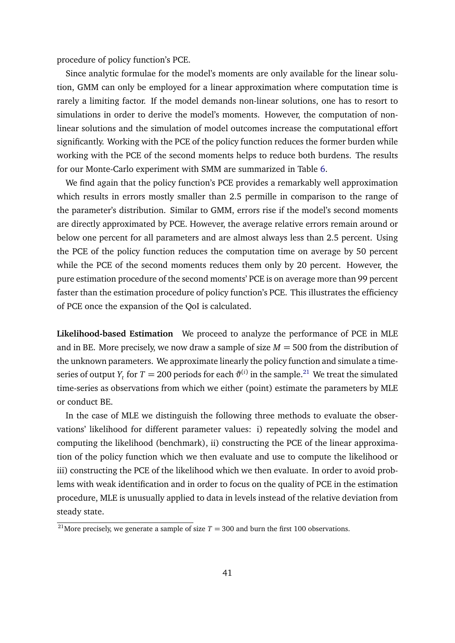procedure of policy function's PCE.

Since analytic formulae for the model's moments are only available for the linear solution, GMM can only be employed for a linear approximation where computation time is rarely a limiting factor. If the model demands non-linear solutions, one has to resort to simulations in order to derive the model's moments. However, the computation of nonlinear solutions and the simulation of model outcomes increase the computational effort significantly. Working with the PCE of the policy function reduces the former burden while working with the PCE of the second moments helps to reduce both burdens. The results for our Monte-Carlo experiment with SMM are summarized in Table [6.](#page-39-0)

We find again that the policy function's PCE provides a remarkably well approximation which results in errors mostly smaller than 2.5 permille in comparison to the range of the parameter's distribution. Similar to GMM, errors rise if the model's second moments are directly approximated by PCE. However, the average relative errors remain around or below one percent for all parameters and are almost always less than 2.5 percent. Using the PCE of the policy function reduces the computation time on average by 50 percent while the PCE of the second moments reduces them only by 20 percent. However, the pure estimation procedure of the second moments' PCE is on average more than 99 percent faster than the estimation procedure of policy function's PCE. This illustrates the efficiency of PCE once the expansion of the QoI is calculated.

**Likelihood-based Estimation** We proceed to analyze the performance of PCE in MLE and in BE. More precisely, we now draw a sample of size  $M = 500$  from the distribution of the unknown parameters. We approximate linearly the policy function and simulate a timeseries of output  $Y_t$  for  $T = 200$  periods for each  $\vartheta^{(i)}$  in the sample.<sup>[21](#page-40-0)</sup> We treat the simulated time-series as observations from which we either (point) estimate the parameters by MLE or conduct BE.

In the case of MLE we distinguish the following three methods to evaluate the observations' likelihood for different parameter values: i) repeatedly solving the model and computing the likelihood (benchmark), ii) constructing the PCE of the linear approximation of the policy function which we then evaluate and use to compute the likelihood or iii) constructing the PCE of the likelihood which we then evaluate. In order to avoid problems with weak identification and in order to focus on the quality of PCE in the estimation procedure, MLE is unusually applied to data in levels instead of the relative deviation from steady state.

<span id="page-40-0"></span><sup>&</sup>lt;sup>21</sup>More precisely, we generate a sample of size  $T = 300$  and burn the first 100 observations.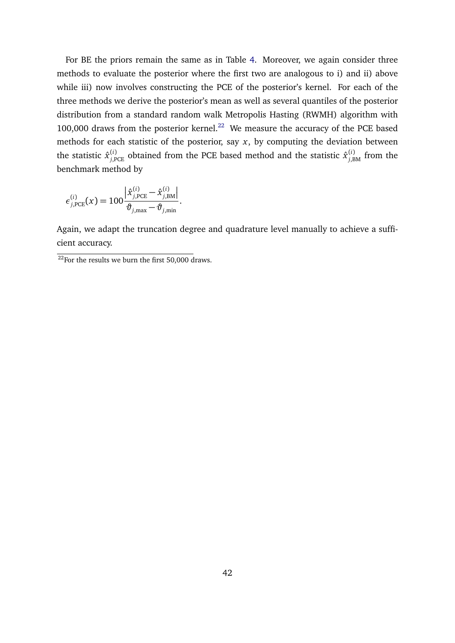For BE the priors remain the same as in Table [4.](#page-37-1) Moreover, we again consider three methods to evaluate the posterior where the first two are analogous to i) and ii) above while iii) now involves constructing the PCE of the posterior's kernel. For each of the three methods we derive the posterior's mean as well as several quantiles of the posterior distribution from a standard random walk Metropolis Hasting (RWMH) algorithm with 100,000 draws from the posterior kernel.<sup>[22](#page-41-0)</sup> We measure the accuracy of the PCE based methods for each statistic of the posterior, say  $x$ , by computing the deviation between the statistic  $\hat{x}^{(i)}_{j,\text{PCE}}$  obtained from the PCE based method and the statistic  $\hat{x}^{(i)}_{j,\text{BM}}$  from the benchmark method by

$$
\epsilon_{j, \text{PCE}}^{(i)}(x) = 100 \frac{\left| \hat{x}_{j, \text{PCE}}^{(i)} - \hat{x}_{j, \text{BM}}^{(i)} \right|}{\vartheta_{j, \text{max}} - \vartheta_{j, \text{min}}}.
$$

Again, we adapt the truncation degree and quadrature level manually to achieve a sufficient accuracy.

<span id="page-41-0"></span> $\sqrt[22]{2}$ For the results we burn the first 50,000 draws.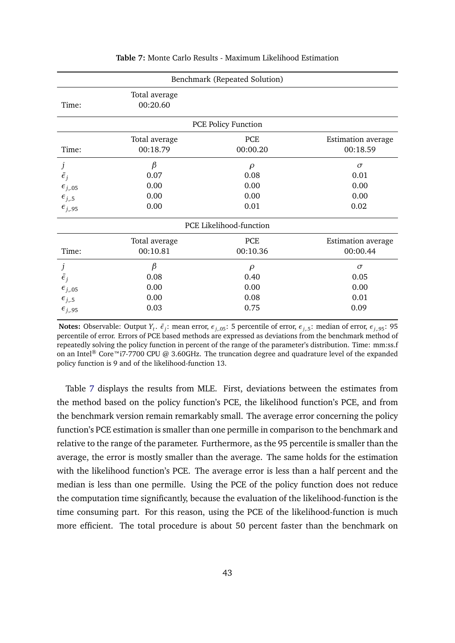<span id="page-42-0"></span>

| Benchmark (Repeated Solution)                                                           |                                                                                       |                                        |                                          |  |  |  |
|-----------------------------------------------------------------------------------------|---------------------------------------------------------------------------------------|----------------------------------------|------------------------------------------|--|--|--|
| Time:                                                                                   | Total average<br>00:20.60                                                             |                                        |                                          |  |  |  |
|                                                                                         |                                                                                       | <b>PCE Policy Function</b>             |                                          |  |  |  |
| Time:                                                                                   | Total average<br>PCE<br><b>Estimation</b> average<br>00:18.79<br>00:00.20<br>00:18.59 |                                        |                                          |  |  |  |
| j<br>$\bar{\epsilon}_i$<br>$\epsilon_{j,05}$<br>$\epsilon_{j,5}$<br>$\epsilon_{j, .95}$ | $\beta$<br>0.07<br>0.00<br>0.00<br>0.00                                               | $\rho$<br>0.08<br>0.00<br>0.00<br>0.01 | $\sigma$<br>0.01<br>0.00<br>0.00<br>0.02 |  |  |  |
|                                                                                         | PCE Likelihood-function                                                               |                                        |                                          |  |  |  |
| Time:                                                                                   | Total average<br>00:10.81                                                             | PCE<br>00:10.36                        | <b>Estimation</b> average<br>00:00.44    |  |  |  |
| j<br>$\bar{\epsilon}_j$<br>$\epsilon_{j,05}$<br>$\epsilon_{j,0}$<br>$\epsilon_{j,95}$   | $\beta$<br>0.08<br>0.00<br>0.00<br>0.03                                               | $\rho$<br>0.40<br>0.00<br>0.08<br>0.75 | $\sigma$<br>0.05<br>0.00<br>0.01<br>0.09 |  |  |  |

#### **Table 7:** Monte Carlo Results - Maximum Likelihood Estimation

**Notes:** Observable: Output  $Y_t$ .  $\bar{\epsilon}_j$ : mean error,  $\epsilon_{j,05}$ : 5 percentile of error,  $\epsilon_{j,5}$ : median of error,  $\epsilon_{j,95}$ : 95 percentile of error. Errors of PCE based methods are expressed as deviations from the benchmark method of repeatedly solving the policy function in percent of the range of the parameter's distribution. Time: mm:ss.f on an Intel<sup>®</sup> Core™i7-7700 CPU @ 3.60GHz. The truncation degree and quadrature level of the expanded policy function is 9 and of the likelihood-function 13.

Table [7](#page-42-0) displays the results from MLE. First, deviations between the estimates from the method based on the policy function's PCE, the likelihood function's PCE, and from the benchmark version remain remarkably small. The average error concerning the policy function's PCE estimation is smaller than one permille in comparison to the benchmark and relative to the range of the parameter. Furthermore, as the 95 percentile is smaller than the average, the error is mostly smaller than the average. The same holds for the estimation with the likelihood function's PCE. The average error is less than a half percent and the median is less than one permille. Using the PCE of the policy function does not reduce the computation time significantly, because the evaluation of the likelihood-function is the time consuming part. For this reason, using the PCE of the likelihood-function is much more efficient. The total procedure is about 50 percent faster than the benchmark on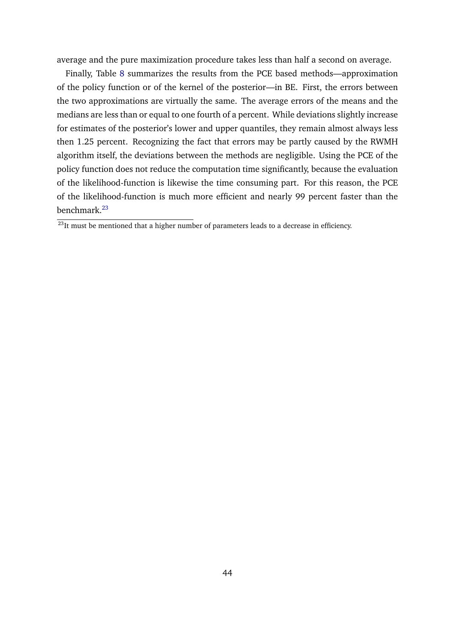average and the pure maximization procedure takes less than half a second on average.

Finally, Table [8](#page-44-0) summarizes the results from the PCE based methods—approximation of the policy function or of the kernel of the posterior—in BE. First, the errors between the two approximations are virtually the same. The average errors of the means and the medians are less than or equal to one fourth of a percent. While deviations slightly increase for estimates of the posterior's lower and upper quantiles, they remain almost always less then 1.25 percent. Recognizing the fact that errors may be partly caused by the RWMH algorithm itself, the deviations between the methods are negligible. Using the PCE of the policy function does not reduce the computation time significantly, because the evaluation of the likelihood-function is likewise the time consuming part. For this reason, the PCE of the likelihood-function is much more efficient and nearly 99 percent faster than the benchmark.<sup>[23](#page-43-0)</sup>

<span id="page-43-0"></span> $23$ It must be mentioned that a higher number of parameters leads to a decrease in efficiency.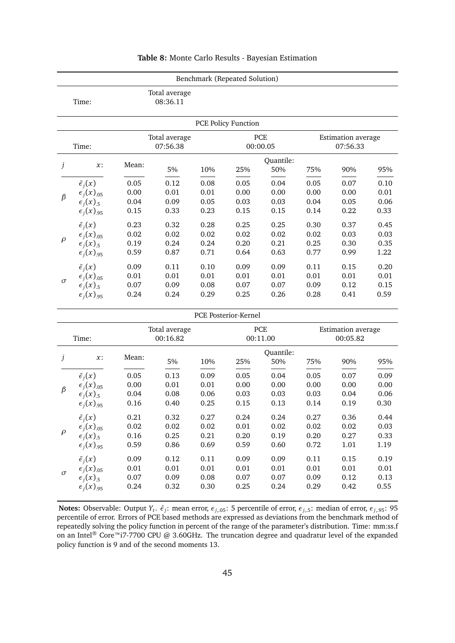<span id="page-44-0"></span>

|                                                                                         |                                                                                                                        |                                  |                                  | Benchmark (Repeated Solution)    |                                      |                              |                                      |                                  |                              |
|-----------------------------------------------------------------------------------------|------------------------------------------------------------------------------------------------------------------------|----------------------------------|----------------------------------|----------------------------------|--------------------------------------|------------------------------|--------------------------------------|----------------------------------|------------------------------|
|                                                                                         | Total average<br>08:36.11<br>Time:                                                                                     |                                  |                                  |                                  |                                      |                              |                                      |                                  |                              |
|                                                                                         |                                                                                                                        |                                  |                                  |                                  | <b>PCE Policy Function</b>           |                              |                                      |                                  |                              |
|                                                                                         | Time:                                                                                                                  |                                  | Total average<br>07:56.38        |                                  |                                      | PCE<br>00:00.05              |                                      | Estimation average<br>07:56.33   |                              |
| j                                                                                       | $x$ :                                                                                                                  | Mean:                            | 5%                               | 10%                              | 25%                                  | Quantile:<br>50%             | 75%                                  | 90%                              | 95%                          |
| $\beta$                                                                                 | $\bar{\epsilon}_i(x)$<br>$\epsilon_i(x)_{.05}$<br>$\epsilon_i(x)_{.5}$                                                 | 0.05<br>0.00<br>0.04             | 0.12<br>0.01<br>0.09             | 0.08<br>0.01<br>0.05             | 0.05<br>0.00<br>0.03                 | 0.04<br>0.00<br>0.03         | 0.05<br>0.00<br>0.04                 | 0.07<br>0.00<br>0.05             | 0.10<br>0.01<br>0.06         |
|                                                                                         | $\epsilon_i(x)_{.95}$                                                                                                  | 0.15                             | 0.33                             | 0.23                             | 0.15                                 | 0.15                         | 0.14                                 | 0.22                             | 0.33                         |
| $\rho$                                                                                  | $\bar{\epsilon}_i(x)$<br>$\epsilon_i(x)_{.05}$<br>$\epsilon_i(x)_{.5}$<br>$\epsilon_i(x)_{.95}$                        | 0.23<br>0.02<br>0.19<br>0.59     | 0.32<br>0.02<br>0.24<br>0.87     | 0.28<br>0.02<br>0.24<br>0.71     | 0.25<br>0.02<br>0.20<br>0.64         | 0.25<br>0.02<br>0.21<br>0.63 | 0.30<br>0.02<br>0.25<br>0.77         | 0.37<br>0.03<br>0.30<br>0.99     | 0.45<br>0.03<br>0.35<br>1.22 |
| $\sigma$                                                                                | $\bar{\epsilon}_i(x)$<br>$\epsilon_i(x)_{.05}$<br>$\epsilon_i(x)_{.5}$<br>$\epsilon_i(x)_{.95}$                        | 0.09<br>0.01<br>0.07<br>0.24     | 0.11<br>0.01<br>0.09<br>0.24     | 0.10<br>0.01<br>0.08<br>0.29     | 0.09<br>0.01<br>0.07<br>0.25         | 0.09<br>0.01<br>0.07<br>0.26 | 0.11<br>0.01<br>0.09<br>0.28         | 0.15<br>0.01<br>0.12<br>0.41     | 0.20<br>0.01<br>0.15<br>0.59 |
|                                                                                         |                                                                                                                        |                                  |                                  |                                  | PCE Posterior-Kernel                 |                              |                                      |                                  |                              |
| Total average<br>PCE<br>Estimation average<br>00:16.82<br>00:05.82<br>Time:<br>00:11.00 |                                                                                                                        |                                  |                                  |                                  |                                      |                              |                                      |                                  |                              |
| j                                                                                       | $x$ :                                                                                                                  | Mean:                            | 5%                               | 10%                              | 25%                                  | Quantile:<br>50%             | 75%                                  | 90%                              | 95%                          |
| $\beta$                                                                                 | $\bar{\epsilon}_i(x)$<br>$\epsilon_i(x)_{.05}$<br>$\epsilon_i(x)_{.5}$<br>$\epsilon_i(x)_{.95}$                        | 0.05<br>0.00<br>0.04<br>0.16     | 0.13<br>0.01<br>0.08<br>0.40     | 0.09<br>0.01<br>0.06<br>0.25     | 0.05<br>0.00<br>0.03<br>0.15         | 0.04<br>0.00<br>0.03<br>0.13 | 0.05<br>0.00<br>0.03<br>0.14         | 0.07<br>0.00<br>0.04<br>0.19     | 0.09<br>0.00<br>0.06<br>0.30 |
| $\rho$                                                                                  | $\bar{\epsilon}_i(x)$<br>$\epsilon_i(x)_{.05}$<br>$\epsilon_i(x)_{.5}$<br>$\epsilon_i(x)_{.95}$                        | 0.21<br>$0.02\,$<br>0.16<br>0.59 | 0.32<br>$0.02\,$<br>0.25<br>0.86 | 0.27<br>$0.02\,$<br>0.21<br>0.69 | 0.24<br>$0.01\,$<br>$0.20\,$<br>0.59 | 0.24<br>0.02<br>0.19<br>0.60 | 0.27<br>$0.02\,$<br>$0.20\,$<br>0.72 | 0.36<br>$0.02\,$<br>0.27<br>1.01 | 0.44<br>0.03<br>0.33<br>1.19 |
| $\sigma$                                                                                | $\bar{\epsilon}_i(x)$<br>$\epsilon_i(x)_{.05}$<br>$\epsilon_i(x)_{.5}$<br>$\epsilon$ <sub>j</sub> $(x)$ <sub>.95</sub> | 0.09<br>0.01<br>$0.07\,$<br>0.24 | 0.12<br>0.01<br>0.09<br>0.32     | 0.11<br>$0.01\,$<br>0.08<br>0.30 | 0.09<br>0.01<br>$0.07\,$<br>0.25     | 0.09<br>0.01<br>0.07<br>0.24 | 0.11<br>0.01<br>0.09<br>0.29         | 0.15<br>$0.01\,$<br>0.12<br>0.42 | 0.19<br>0.01<br>0.13<br>0.55 |

#### **Table 8:** Monte Carlo Results - Bayesian Estimation

**Notes:** Observable: Output  $Y_t$ .  $\bar{\epsilon}_j$ : mean error,  $\epsilon_{j,05}$ : 5 percentile of error,  $\epsilon_{j,5}$ : median of error,  $\epsilon_{j,95}$ : 95 percentile of error. Errors of PCE based methods are expressed as deviations from the benchmark method of repeatedly solving the policy function in percent of the range of the parameter's distribution. Time: mm:ss.f on an Intel® Core™i7-7700 CPU @ 3.60GHz. The truncation degree and quadratur level of the expanded policy function is 9 and of the second moments 13.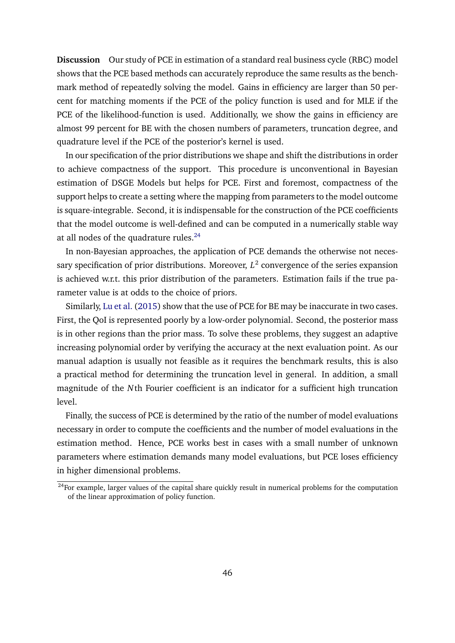**Discussion** Our study of PCE in estimation of a standard real business cycle (RBC) model shows that the PCE based methods can accurately reproduce the same results as the benchmark method of repeatedly solving the model. Gains in efficiency are larger than 50 percent for matching moments if the PCE of the policy function is used and for MLE if the PCE of the likelihood-function is used. Additionally, we show the gains in efficiency are almost 99 percent for BE with the chosen numbers of parameters, truncation degree, and quadrature level if the PCE of the posterior's kernel is used.

In our specification of the prior distributions we shape and shift the distributions in order to achieve compactness of the support. This procedure is unconventional in Bayesian estimation of DSGE Models but helps for PCE. First and foremost, compactness of the support helps to create a setting where the mapping from parameters to the model outcome is square-integrable. Second, it is indispensable for the construction of the PCE coefficients that the model outcome is well-defined and can be computed in a numerically stable way at all nodes of the quadrature rules.<sup>[24](#page-45-0)</sup>

In non-Bayesian approaches, the application of PCE demands the otherwise not necessary specification of prior distributions. Moreover,  $L^2$  convergence of the series expansion is achieved w.r.t. this prior distribution of the parameters. Estimation fails if the true parameter value is at odds to the choice of priors.

Similarly, [Lu et al.](#page-57-10) [\(2015\)](#page-57-10) show that the use of PCE for BE may be inaccurate in two cases. First, the QoI is represented poorly by a low-order polynomial. Second, the posterior mass is in other regions than the prior mass. To solve these problems, they suggest an adaptive increasing polynomial order by verifying the accuracy at the next evaluation point. As our manual adaption is usually not feasible as it requires the benchmark results, this is also a practical method for determining the truncation level in general. In addition, a small magnitude of the *N*th Fourier coefficient is an indicator for a sufficient high truncation level.

Finally, the success of PCE is determined by the ratio of the number of model evaluations necessary in order to compute the coefficients and the number of model evaluations in the estimation method. Hence, PCE works best in cases with a small number of unknown parameters where estimation demands many model evaluations, but PCE loses efficiency in higher dimensional problems.

<span id="page-45-0"></span> $24$ For example, larger values of the capital share quickly result in numerical problems for the computation of the linear approximation of policy function.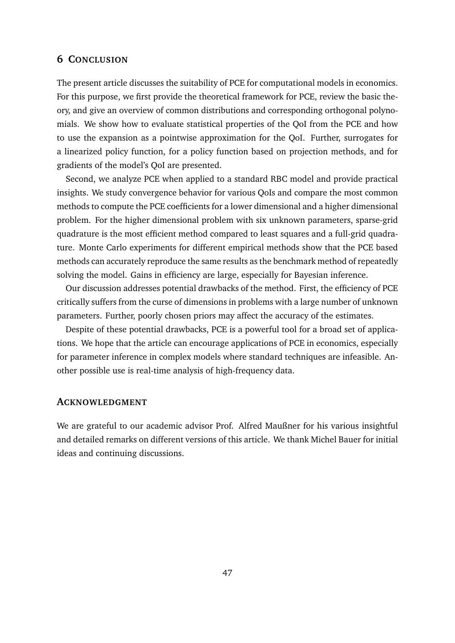#### <span id="page-46-0"></span>**6 CONCLUSION**

The present article discusses the suitability of PCE for computational models in economics. For this purpose, we first provide the theoretical framework for PCE, review the basic theory, and give an overview of common distributions and corresponding orthogonal polynomials. We show how to evaluate statistical properties of the QoI from the PCE and how to use the expansion as a pointwise approximation for the QoI. Further, surrogates for a linearized policy function, for a policy function based on projection methods, and for gradients of the model's QoI are presented.

Second, we analyze PCE when applied to a standard RBC model and provide practical insights. We study convergence behavior for various QoIs and compare the most common methods to compute the PCE coefficients for a lower dimensional and a higher dimensional problem. For the higher dimensional problem with six unknown parameters, sparse-grid quadrature is the most efficient method compared to least squares and a full-grid quadrature. Monte Carlo experiments for different empirical methods show that the PCE based methods can accurately reproduce the same results as the benchmark method of repeatedly solving the model. Gains in efficiency are large, especially for Bayesian inference.

Our discussion addresses potential drawbacks of the method. First, the efficiency of PCE critically suffers from the curse of dimensions in problems with a large number of unknown parameters. Further, poorly chosen priors may affect the accuracy of the estimates.

Despite of these potential drawbacks, PCE is a powerful tool for a broad set of applications. We hope that the article can encourage applications of PCE in economics, especially for parameter inference in complex models where standard techniques are infeasible. Another possible use is real-time analysis of high-frequency data.

#### **ACKNOWLEDGMENT**

We are grateful to our academic advisor Prof. Alfred Maußner for his various insightful and detailed remarks on different versions of this article. We thank Michel Bauer for initial ideas and continuing discussions.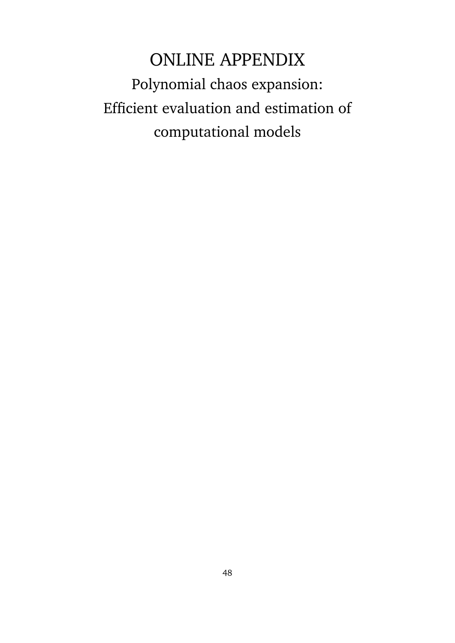# ONLINE APPENDIX Polynomial chaos expansion: Efficient evaluation and estimation of computational models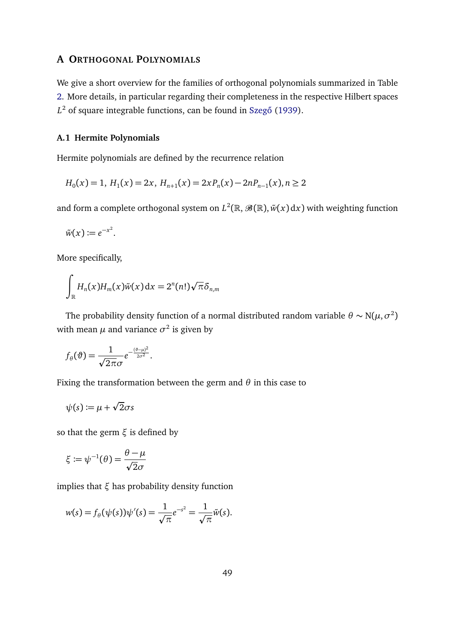#### <span id="page-48-0"></span>**A ORTHOGONAL POLYNOMIALS**

We give a short overview for the families of orthogonal polynomials summarized in Table [2.](#page-12-0) More details, in particular regarding their completeness in the respective Hilbert spaces  $L^2$  of square integrable functions, can be found in Szegő [\(1939\)](#page-57-4).

#### **A.1 Hermite Polynomials**

Hermite polynomials are defined by the recurrence relation

$$
H_0(x) = 1, H_1(x) = 2x, H_{n+1}(x) = 2xP_n(x) - 2nP_{n-1}(x), n \ge 2
$$

and form a complete orthogonal system on  $L^2(\mathbb{R},\mathscr{B}(\mathbb{R}),\tilde{w}(x)\, \mathrm{d} x)$  with weighting function

$$
\tilde{w}(x):=e^{-x^2}.
$$

More specifically,

$$
\int_{\mathbb{R}} H_n(x) H_m(x) \tilde{w}(x) dx = 2^n (n!) \sqrt{\pi} \delta_{n,m}
$$

The probability density function of a normal distributed random variable  $\theta \sim N(\mu, \sigma^2)$ with mean  $\mu$  and variance  $\sigma^2$  is given by

$$
f_{\theta}(\vartheta) = \frac{1}{\sqrt{2\pi}\sigma}e^{-\frac{(\vartheta-\mu)^2}{2\sigma^2}}.
$$

Fixing the transformation between the germ and *θ* in this case to

$$
\psi(s) := \mu + \sqrt{2}\sigma s
$$

so that the germ *ξ* is defined by

$$
\xi \coloneqq \psi^{-1}(\theta) = \frac{\theta - \mu}{\sqrt{2}\sigma}
$$

implies that *ξ* has probability density function

$$
w(s) = f_{\theta}(\psi(s))\psi'(s) = \frac{1}{\sqrt{\pi}}e^{-s^2} = \frac{1}{\sqrt{\pi}}\tilde{w}(s).
$$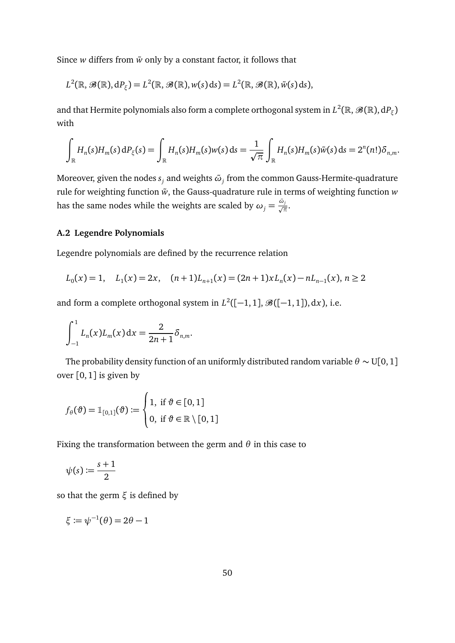Since *w* differs from  $\tilde{w}$  only by a constant factor, it follows that

$$
L^{2}(\mathbb{R},\mathscr{B}(\mathbb{R}),\mathrm{d}P_{\xi})=L^{2}(\mathbb{R},\mathscr{B}(\mathbb{R}),w(s)\,\mathrm{d}s)=L^{2}(\mathbb{R},\mathscr{B}(\mathbb{R}),\tilde{w}(s)\,\mathrm{d}s),
$$

and that Hermite polynomials also form a complete orthogonal system in  $L^2(\mathbb{R},\mathscr{B}(\mathbb{R}),\mathrm{d} P_\xi)$ with

$$
\int_{\mathbb{R}} H_n(s)H_m(s)\,\mathrm{d}P_\xi(s) = \int_{\mathbb{R}} H_n(s)H_m(s)w(s)\,\mathrm{d}s = \frac{1}{\sqrt{\pi}}\int_{\mathbb{R}} H_n(s)H_m(s)\tilde{w}(s)\,\mathrm{d}s = 2^n(n!\,\delta_{n,m}.
$$

Moreover, given the nodes *s<sup>j</sup>* and weights *ω*˜ *<sup>j</sup>* from the common Gauss-Hermite-quadrature rule for weighting function  $\tilde{w}$ , the Gauss-quadrature rule in terms of weighting function *w* has the same nodes while the weights are scaled by  $\omega_j = \frac{\tilde{\omega}_j}{\sqrt{\pi}}$ .

#### **A.2 Legendre Polynomials**

Legendre polynomials are defined by the recurrence relation

$$
L_0(x) = 1, \quad L_1(x) = 2x, \quad (n+1)L_{n+1}(x) = (2n+1)xL_n(x) - nL_{n-1}(x), \quad n \ge 2
$$

and form a complete orthogonal system in  $L^2([-1, 1], \mathcal{B}([-1, 1]), dx)$ , i.e.

$$
\int_{-1}^{1} L_n(x) L_m(x) \, dx = \frac{2}{2n+1} \delta_{n,m}.
$$

The probability density function of an uniformly distributed random variable  $\theta \sim U[0,1]$ over  $\lceil 0, 1 \rceil$  is given by

$$
f_{\theta}(\vartheta) = \mathbb{1}_{[0,1]}(\vartheta) := \begin{cases} 1, \text{ if } \vartheta \in [0,1] \\ 0, \text{ if } \vartheta \in \mathbb{R} \setminus [0,1] \end{cases}
$$

Fixing the transformation between the germ and *θ* in this case to

$$
\psi(s) \coloneqq \frac{s+1}{2}
$$

so that the germ *ξ* is defined by

$$
\xi:=\psi^{-1}(\theta)=2\theta-1
$$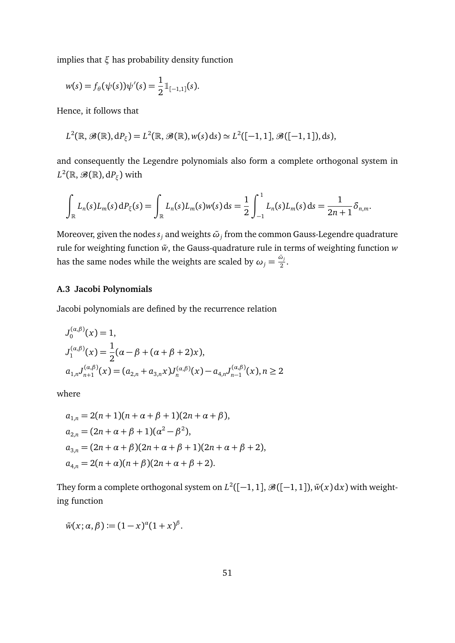implies that *ξ* has probability density function

$$
w(s) = f_{\theta}(\psi(s))\psi'(s) = \frac{1}{2} \mathbb{1}_{[-1,1]}(s).
$$

Hence, it follows that

$$
L^{2}(\mathbb{R},\mathscr{B}(\mathbb{R}),\mathrm{d}P_{\xi})=L^{2}(\mathbb{R},\mathscr{B}(\mathbb{R}),w(s)\,\mathrm{d}s)\simeq L^{2}([-1,1],\mathscr{B}([-1,1]),\mathrm{d}s),
$$

and consequently the Legendre polynomials also form a complete orthogonal system in  $L^2(\mathbb{R},\mathscr{B}(\mathbb{R}),\mathrm{d} P_\xi)$  with

$$
\int_{\mathbb{R}} L_n(s) L_m(s) dP_{\xi}(s) = \int_{\mathbb{R}} L_n(s) L_m(s) w(s) ds = \frac{1}{2} \int_{-1}^1 L_n(s) L_m(s) ds = \frac{1}{2n+1} \delta_{n,m}.
$$

Moreover, given the nodes  $s_j$  and weights  $\tilde{\omega}_j$  from the common Gauss-Legendre quadrature rule for weighting function  $\tilde{w}$ , the Gauss-quadrature rule in terms of weighting function  $w$ has the same nodes while the weights are scaled by  $\omega_j = \frac{\tilde{\omega}_j}{2}$  $\frac{\omega_j}{2}$ .

#### **A.3 Jacobi Polynomials**

Jacobi polynomials are defined by the recurrence relation

$$
J_0^{(\alpha,\beta)}(x) = 1,
$$
  
\n
$$
J_1^{(\alpha,\beta)}(x) = \frac{1}{2}(\alpha - \beta + (\alpha + \beta + 2)x),
$$
  
\n
$$
a_{1,n}J_{n+1}^{(\alpha,\beta)}(x) = (a_{2,n} + a_{3,n}x)J_n^{(\alpha,\beta)}(x) - a_{4,n}J_{n-1}^{(\alpha,\beta)}(x), n \ge 2
$$

where

$$
a_{1,n} = 2(n+1)(n+\alpha+\beta+1)(2n+\alpha+\beta),
$$
  
\n
$$
a_{2,n} = (2n+\alpha+\beta+1)(\alpha^2-\beta^2),
$$
  
\n
$$
a_{3,n} = (2n+\alpha+\beta)(2n+\alpha+\beta+1)(2n+\alpha+\beta+2),
$$
  
\n
$$
a_{4,n} = 2(n+\alpha)(n+\beta)(2n+\alpha+\beta+2).
$$

They form a complete orthogonal system on  $L^2([-1,1],\mathscr{B}([-1,1]),\tilde{w}(x)\, \mathrm{d} x)$  with weighting function

$$
\tilde{w}(x;\alpha,\beta) := (1-x)^{\alpha}(1+x)^{\beta}.
$$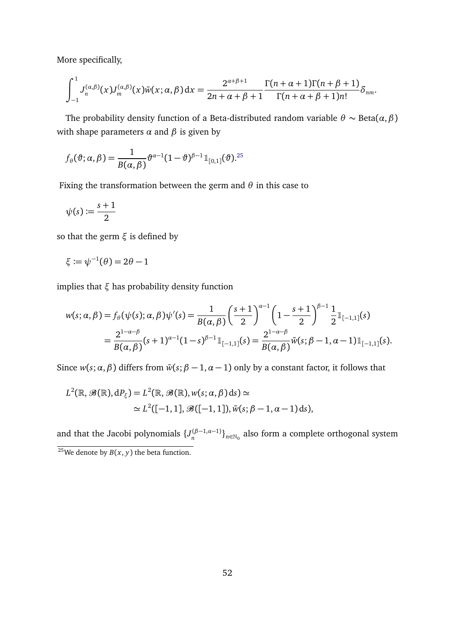More specifically,

$$
\int_{-1}^1 J_n^{(\alpha,\beta)}(x)J_m^{(\alpha,\beta)}(x)\tilde{w}(x;\alpha,\beta) dx = \frac{2^{\alpha+\beta+1}}{2n+\alpha+\beta+1} \frac{\Gamma(n+\alpha+1)\Gamma(n+\beta+1)}{\Gamma(n+\alpha+\beta+1)n!} \delta_{nm}.
$$

The probability density function of a Beta-distributed random variable  $\theta \sim \text{Beta}(\alpha, \beta)$ with shape parameters  $\alpha$  and  $\beta$  is given by

$$
f_\theta(\vartheta;\alpha,\beta) = \frac{1}{B(\alpha,\beta)} \vartheta^{a-1} (1-\vartheta)^{\beta-1} \mathbb{1}_{[\![ 0,1]\!]}(\vartheta) .^{25}
$$

Fixing the transformation between the germ and *θ* in this case to

$$
\psi(s) \coloneqq \frac{s+1}{2}
$$

so that the germ *ξ* is defined by

$$
\xi \coloneqq \psi^{-1}(\theta) = 2\theta - 1
$$

implies that *ξ* has probability density function

$$
w(s; \alpha, \beta) = f_{\theta}(\psi(s); \alpha, \beta)\psi'(s) = \frac{1}{B(\alpha, \beta)} \left(\frac{s+1}{2}\right)^{\alpha-1} \left(1 - \frac{s+1}{2}\right)^{\beta-1} \frac{1}{2} \mathbb{1}_{[-1,1]}(s)
$$
  
= 
$$
\frac{2^{1-\alpha-\beta}}{B(\alpha, \beta)} (s+1)^{\alpha-1} (1-s)^{\beta-1} \mathbb{1}_{[-1,1]}(s) = \frac{2^{1-\alpha-\beta}}{B(\alpha, \beta)} \tilde{w}(s; \beta-1, \alpha-1) \mathbb{1}_{[-1,1]}(s).
$$

Since  $w(s; \alpha, \beta)$  differs from  $\tilde{w}(s; \beta - 1, \alpha - 1)$  only by a constant factor, it follows that

$$
L^{2}(\mathbb{R},\mathscr{B}(\mathbb{R}),\mathrm{d}P_{\xi})=L^{2}(\mathbb{R},\mathscr{B}(\mathbb{R}),w(s;\alpha,\beta)\,\mathrm{d}s)\simeq
$$
  

$$
\simeq L^{2}([-1,1],\mathscr{B}([-1,1]),\tilde{w}(s;\beta-1,\alpha-1)\,\mathrm{d}s),
$$

and that the Jacobi polynomials  $\{J_n^{(\beta-1,\alpha-1)}\}_{n\in\mathbb{N}_0}$  also form a complete orthogonal system

<span id="page-51-0"></span><sup>&</sup>lt;sup>25</sup>We denote by *B*(*x*, *y*) the beta function.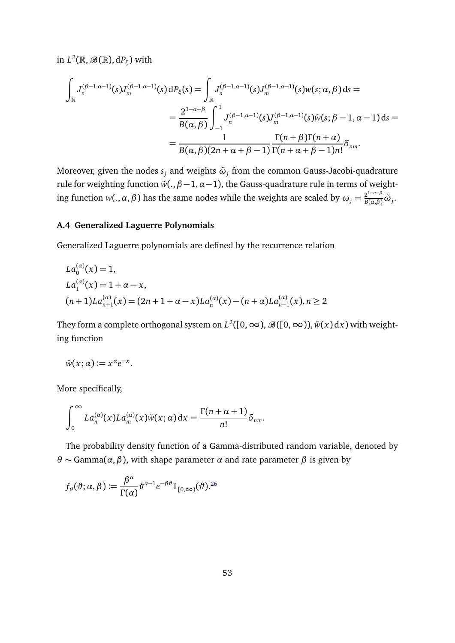in  $L^2(\mathbb{R}, \mathscr{B}(\mathbb{R}), dP_\xi)$  with

$$
\int_{\mathbb{R}} J_n^{(\beta-1,\alpha-1)}(s) J_m^{(\beta-1,\alpha-1)}(s) dP_{\xi}(s) = \int_{\mathbb{R}} J_n^{(\beta-1,\alpha-1)}(s) J_m^{(\beta-1,\alpha-1)}(s) w(s; \alpha, \beta) ds =
$$
\n
$$
= \frac{2^{1-\alpha-\beta}}{B(\alpha,\beta)} \int_{-1}^1 J_n^{(\beta-1,\alpha-1)}(s) J_m^{(\beta-1,\alpha-1)}(s) \tilde{w}(s; \beta-1, \alpha-1) ds =
$$
\n
$$
= \frac{1}{B(\alpha,\beta)(2n+\alpha+\beta-1)} \frac{\Gamma(n+\beta)\Gamma(n+\alpha)}{\Gamma(n+\alpha+\beta-1)n!} \delta_{nm}.
$$

Moreover, given the nodes  $s_j$  and weights  $\tilde{\omega}_j$  from the common Gauss-Jacobi-quadrature rule for weighting function  $\tilde{w}(., \beta -1, \alpha -1)$ , the Gauss-quadrature rule in terms of weight- $\log$  function  $w(., \alpha, \beta)$  has the same nodes while the weights are scaled by  $\omega_j = \frac{2^{1-a-\beta}}{\beta(a,\beta)} \tilde{\omega}_j$ .

#### **A.4 Generalized Laguerre Polynomials**

Generalized Laguerre polynomials are defined by the recurrence relation

$$
La_0^{(\alpha)}(x) = 1,
$$
  
\n
$$
La_1^{(\alpha)}(x) = 1 + \alpha - x,
$$
  
\n
$$
(n+1)La_{n+1}^{(\alpha)}(x) = (2n+1+\alpha-x)La_n^{(\alpha)}(x) - (n+\alpha)La_{n-1}^{(\alpha)}(x), n \ge 2
$$

They form a complete orthogonal system on  $L^2([0,\infty),{\mathscr B}([0,\infty)), \tilde w(x)\,{\rm d} x)$  with weighting function

$$
\tilde{w}(x;\alpha) \coloneqq x^{\alpha} e^{-x}.
$$

More specifically,

$$
\int_0^\infty La_n^{(\alpha)}(x)La_m^{(\alpha)}(x)\tilde{w}(x;\alpha) dx = \frac{\Gamma(n+\alpha+1)}{n!}\delta_{nm}.
$$

The probability density function of a Gamma-distributed random variable, denoted by *θ* ∼ Gamma(*α*,*β*), with shape parameter *α* and rate parameter *β* is given by

$$
f_{\theta}(\vartheta; \alpha, \beta) := \frac{\beta^{\alpha}}{\Gamma(\alpha)} \vartheta^{\alpha-1} e^{-\beta \vartheta} \mathbb{1}_{[0,\infty)}(\vartheta).^{26}
$$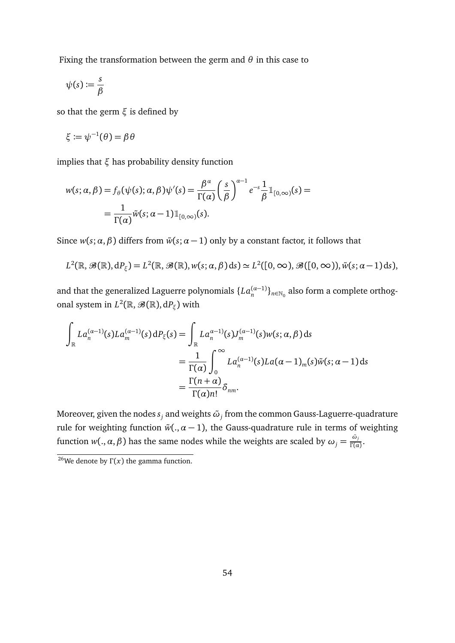Fixing the transformation between the germ and *θ* in this case to

$$
\psi(s):=\frac{s}{\beta}
$$

so that the germ *ξ* is defined by

$$
\xi := \psi^{-1}(\theta) = \beta \theta
$$

implies that *ξ* has probability density function

$$
w(s; \alpha, \beta) = f_{\theta}(\psi(s); \alpha, \beta)\psi'(s) = \frac{\beta^{\alpha}}{\Gamma(\alpha)} \left(\frac{s}{\beta}\right)^{\alpha-1} e^{-s} \frac{1}{\beta} \mathbb{1}_{[0, \infty)}(s) =
$$
  
= 
$$
\frac{1}{\Gamma(\alpha)} \tilde{w}(s; \alpha - 1) \mathbb{1}_{[0, \infty)}(s).
$$

Since  $w(s; \alpha, \beta)$  differs from  $\tilde{w}(s; \alpha - 1)$  only by a constant factor, it follows that

$$
L^{2}(\mathbb{R},\mathscr{B}(\mathbb{R}),\mathrm{d}P_{\xi})=L^{2}(\mathbb{R},\mathscr{B}(\mathbb{R}),w(s;\alpha,\beta)\,\mathrm{d}s)\simeq L^{2}([0,\infty),\mathscr{B}([0,\infty)),\tilde{w}(s;\alpha-1)\,\mathrm{d}s),
$$

and that the generalized Laguerre polynomials  $\{La_n^{(\alpha-1)}\}_{n\in\mathbb{N}_0}$  also form a complete orthogonal system in  $L^2(\mathbb{R}, \mathscr{B}(\mathbb{R}), dP_\xi)$  with

$$
\int_{\mathbb{R}} La_n^{(\alpha-1)}(s)La_m^{(\alpha-1)}(s) dP_{\xi}(s) = \int_{\mathbb{R}} La_n^{\alpha-1)}(s)J_m^{(\alpha-1)}(s)w(s; \alpha, \beta) ds
$$
  
\n
$$
= \frac{1}{\Gamma(\alpha)} \int_0^{\infty} La_n^{(\alpha-1)}(s)La(\alpha-1)_m(s)\tilde{w}(s; \alpha-1) ds
$$
  
\n
$$
= \frac{\Gamma(n+\alpha)}{\Gamma(\alpha)n!} \delta_{nm}.
$$

Moreover, given the nodes  $s_j$  and weights  $\tilde{\omega}_j$  from the common Gauss-Laguerre-quadrature rule for weighting function  $\tilde{w}(.,\alpha - 1)$ , the Gauss-quadrature rule in terms of weighting function  $w(.,\alpha,\beta)$  has the same nodes while the weights are scaled by  $\omega_j=\frac{\tilde{\omega}_j}{\Gamma(\alpha)}$  $\frac{\omega_j}{\Gamma(\alpha)}$ .

<span id="page-53-0"></span><sup>&</sup>lt;sup>26</sup>We denote by  $Γ(x)$  the gamma function.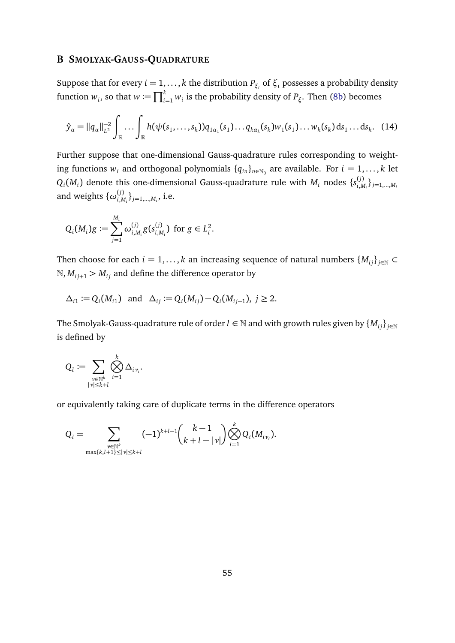#### <span id="page-54-0"></span>**B SMOLYAK-GAUSS-QUADRATURE**

Suppose that for every  $i = 1, \ldots, k$  the distribution  $P_{\xi_i}$  of  $\xi_i$  possesses a probability density function  $w_i$ , so that  $w := \prod_{i=1}^k w_i$  is the probability density of  $P_\xi$ . Then [\(8b\)](#page-19-1) becomes

<span id="page-54-1"></span>
$$
\hat{y}_{\alpha} = ||q_{\alpha}||_{L^2}^{-2} \int_{\mathbb{R}} \dots \int_{\mathbb{R}} h(\psi(s_1, \dots, s_k)) q_{1\alpha_1}(s_1) \dots q_{k\alpha_k}(s_k) w_1(s_1) \dots w_k(s_k) ds_1 \dots ds_k.
$$
 (14)

Further suppose that one-dimensional Gauss-quadrature rules corresponding to weighting functions  $w_i$  and orthogonal polynomials  $\{q_{in}\}_{n\in\mathbb{N}_0}$  are available. For  $i = 1, ..., k$  let  $Q_i(M_i)$  denote this one-dimensional Gauss-quadrature rule with  $M_i$  nodes  $\{s_{i,h}^{(j)}\}$  $\{j\}}_{i,M_i}$ }<sub>*j*=1,...,*M*<sub>*i*</sub></sub> and weights  $\{ \omega_{i,k}^{(j)} \}$  $_{i,M_i}^{(j)}\}_{j=1,...,M_i}$ , i.e.

$$
Q_i(M_i)g := \sum_{j=1}^{M_i} \omega_{i,M_i}^{(j)} g(s_{i,M_i}^{(j)}) \text{ for } g \in L_i^2.
$$

Then choose for each  $i = 1, ..., k$  an increasing sequence of natural numbers  $\{M_{ij}\}_{j \in \mathbb{N}}$  ⊂  $N, M_{ij+1} > M_{ij}$  and define the difference operator by

$$
\Delta_{i1} := Q_i(M_{i1})
$$
 and  $\Delta_{ij} := Q_i(M_{ij}) - Q_i(M_{ij-1}), j \ge 2.$ 

The Smolyak-Gauss-quadrature rule of order  $l \in \mathbb{N}$  and with growth rules given by  $\{M_{ij}\}_{j \in \mathbb{N}}$ is defined by

$$
Q_l \coloneqq \sum_{\substack{\nu \in \mathbb{N}^k \\ |\nu| \leq k+l}} \bigotimes_{i=1}^k \Delta_{i \nu_i}.
$$

or equivalently taking care of duplicate terms in the difference operators

$$
Q_{l} = \sum_{\substack{\nu \in \mathbb{N}^{k} \\ \max\{k, l+1\} \leq |\nu| \leq k+l}} (-1)^{k+l-1} {k-1 \choose k+l-|\nu|} \bigotimes_{i=1}^{k} Q_{i}(M_{i\nu_{i}}).
$$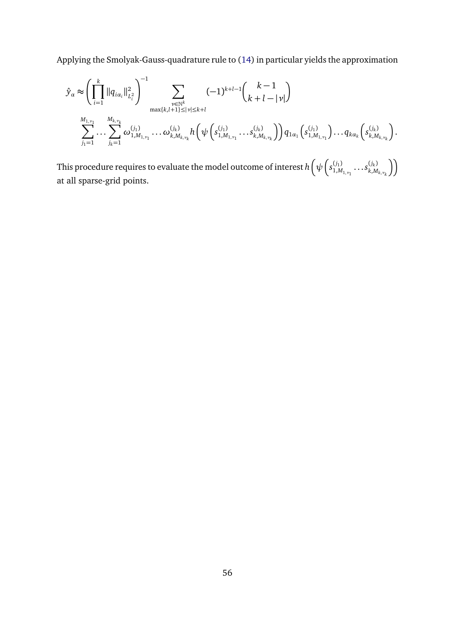Applying the Smolyak-Gauss-quadrature rule to [\(14\)](#page-54-1) in particular yields the approximation

$$
\hat{y}_{\alpha} \approx \left(\prod_{i=1}^{k} ||q_{i\alpha_{i}}||_{L^{2}_{i}}^{2}\right)^{-1} \sum_{\substack{\nu \in \mathbb{N}^{k} \\ \max\{k, l+1\} \leq |\nu| \leq k+l}} (-1)^{k+l-1} {k-1 \choose k+l-|\nu|} \\ \sum_{j_{1}=1}^{M_{1,\nu_{1}}} \dots \sum_{j_{k}=1}^{M_{k,\nu_{k}}} \omega_{1,M_{1,\nu_{1}}}^{(j_{1})} \dots \omega_{k,M_{k,\nu_{k}}}^{(j_{k})} h\left(\psi\left(s_{1,M_{1,\nu_{1}}}^{(j_{1})}, \dots, s_{k,M_{k,\nu_{k}}}^{(j_{k})}\right)\right) q_{1\alpha_{1}}\left(s_{1,M_{1,\nu_{1}}}^{(j_{1})}\right) \dots q_{k\alpha_{k}}\left(s_{k,M_{k,\nu_{k}}}^{(j_{k})}\right).
$$

This procedure requires to evaluate the model outcome of interest  $h\Big(\,\psi\Big(s_{1\ M}^{(j_1)}\Big)$  $\binom{(j_1)}{1, M_{1,\nu_1}} \dots s_{k,M}^{(j_k)}$ *<sup>k</sup>*,*Mk*,*ν<sup>k</sup>*  $\mathcal{U}$ at all sparse-grid points.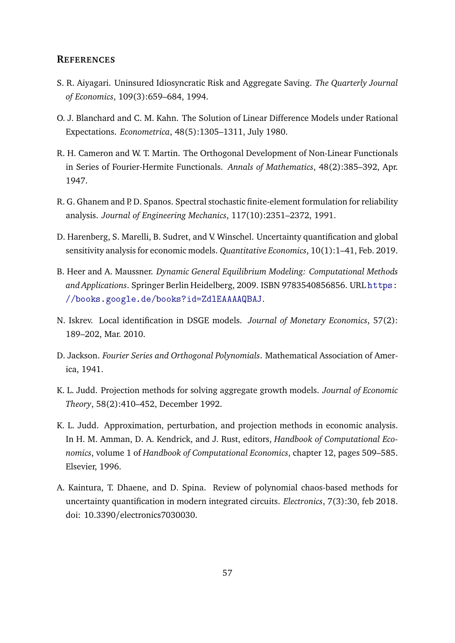#### **REFERENCES**

- <span id="page-56-10"></span>S. R. Aiyagari. Uninsured Idiosyncratic Risk and Aggregate Saving. *The Quarterly Journal of Economics*, 109(3):659–684, 1994.
- <span id="page-56-5"></span>O. J. Blanchard and C. M. Kahn. The Solution of Linear Difference Models under Rational Expectations. *Econometrica*, 48(5):1305–1311, July 1980.
- <span id="page-56-1"></span>R. H. Cameron and W. T. Martin. The Orthogonal Development of Non-Linear Functionals in Series of Fourier-Hermite Functionals. *Annals of Mathematics*, 48(2):385–392, Apr. 1947.
- <span id="page-56-3"></span>R. G. Ghanem and P. D. Spanos. Spectral stochastic finite-element formulation for reliability analysis. *Journal of Engineering Mechanics*, 117(10):2351–2372, 1991.
- <span id="page-56-0"></span>D. Harenberg, S. Marelli, B. Sudret, and V. Winschel. Uncertainty quantification and global sensitivity analysis for economic models. *Quantitative Economics*, 10(1):1–41, Feb. 2019.
- <span id="page-56-7"></span>B. Heer and A. Maussner. *Dynamic General Equilibrium Modeling: Computational Methods and Applications*. Springer Berlin Heidelberg, 2009. ISBN 9783540856856. URL [https:](https://books.google.de/books?id=ZdlEAAAAQBAJ) [//books.google.de/books?id=ZdlEAAAAQBAJ](https://books.google.de/books?id=ZdlEAAAAQBAJ).
- <span id="page-56-9"></span>N. Iskrev. Local identification in DSGE models. *Journal of Monetary Economics*, 57(2): 189–202, Mar. 2010.
- <span id="page-56-4"></span>D. Jackson. *Fourier Series and Orthogonal Polynomials*. Mathematical Association of America, 1941.
- <span id="page-56-8"></span>K. L. Judd. Projection methods for solving aggregate growth models. *Journal of Economic Theory*, 58(2):410–452, December 1992.
- <span id="page-56-6"></span>K. L. Judd. Approximation, perturbation, and projection methods in economic analysis. In H. M. Amman, D. A. Kendrick, and J. Rust, editors, *Handbook of Computational Economics*, volume 1 of *Handbook of Computational Economics*, chapter 12, pages 509–585. Elsevier, 1996.
- <span id="page-56-2"></span>A. Kaintura, T. Dhaene, and D. Spina. Review of polynomial chaos-based methods for uncertainty quantification in modern integrated circuits. *Electronics*, 7(3):30, feb 2018. doi: 10.3390/electronics7030030.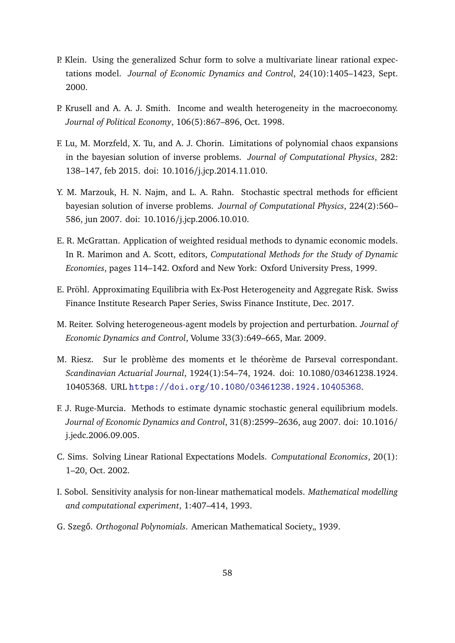- <span id="page-57-5"></span>P. Klein. Using the generalized Schur form to solve a multivariate linear rational expectations model. *Journal of Economic Dynamics and Control*, 24(10):1405–1423, Sept. 2000.
- <span id="page-57-8"></span>P. Krusell and A. A. J. Smith. Income and wealth heterogeneity in the macroeconomy. *Journal of Political Economy*, 106(5):867–896, Oct. 1998.
- <span id="page-57-10"></span>F. Lu, M. Morzfeld, X. Tu, and A. J. Chorin. Limitations of polynomial chaos expansions in the bayesian solution of inverse problems. *Journal of Computational Physics*, 282: 138–147, feb 2015. doi: 10.1016/j.jcp.2014.11.010.
- <span id="page-57-1"></span>Y. M. Marzouk, H. N. Najm, and L. A. Rahn. Stochastic spectral methods for efficient bayesian solution of inverse problems. *Journal of Computational Physics*, 224(2):560– 586, jun 2007. doi: 10.1016/j.jcp.2006.10.010.
- <span id="page-57-7"></span>E. R. McGrattan. Application of weighted residual methods to dynamic economic models. In R. Marimon and A. Scott, editors, *Computational Methods for the Study of Dynamic Economies*, pages 114–142. Oxford and New York: Oxford University Press, 1999.
- <span id="page-57-0"></span>E. Pröhl. Approximating Equilibria with Ex-Post Heterogeneity and Aggregate Risk. Swiss Finance Institute Research Paper Series, Swiss Finance Institute, Dec. 2017.
- <span id="page-57-9"></span>M. Reiter. Solving heterogeneous-agent models by projection and perturbation. *Journal of Economic Dynamics and Control*, Volume 33(3):649–665, Mar. 2009.
- <span id="page-57-3"></span>M. Riesz. Sur le problème des moments et le théorème de Parseval correspondant. *Scandinavian Actuarial Journal*, 1924(1):54–74, 1924. doi: 10.1080/03461238.1924. 10405368. URL <https://doi.org/10.1080/03461238.1924.10405368>.
- <span id="page-57-2"></span>F. J. Ruge-Murcia. Methods to estimate dynamic stochastic general equilibrium models. *Journal of Economic Dynamics and Control*, 31(8):2599–2636, aug 2007. doi: 10.1016/ j.jedc.2006.09.005.
- <span id="page-57-6"></span>C. Sims. Solving Linear Rational Expectations Models. *Computational Economics*, 20(1): 1–20, Oct. 2002.
- I. Sobol. Sensitivity analysis for non-linear mathematical models. *Mathematical modelling and computational experiment*, 1:407–414, 1993.
- <span id="page-57-4"></span>G. Szegő. *Orthogonal Polynomials*. American Mathematical Society, 1939.